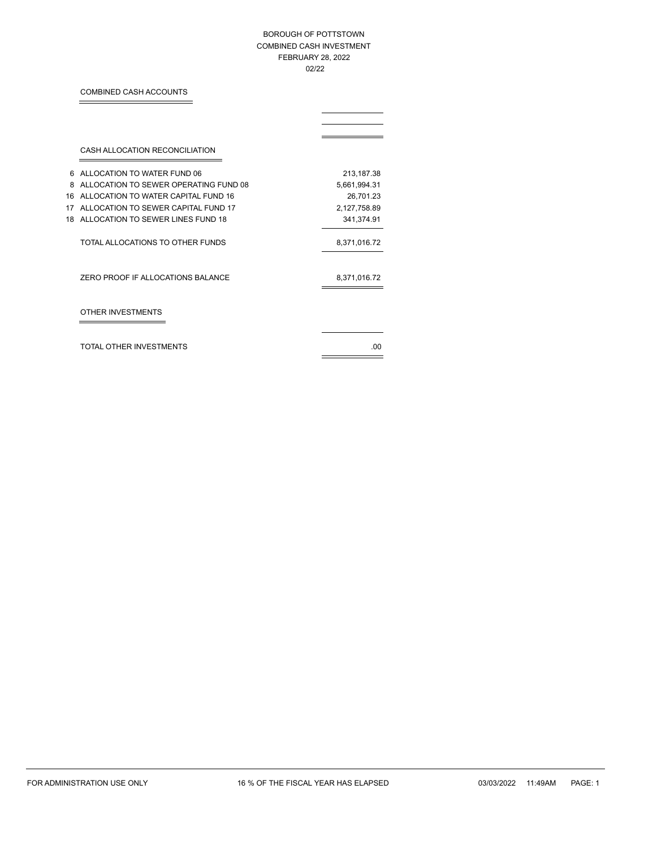# BOROUGH OF POTTSTOWN COMBINED CASH INVESTMENT FEBRUARY 28, 2022 02/22

# COMBINED CASH ACCOUNTS

Ë

|    | CASH ALLOCATION RECONCILIATION        |              |
|----|---------------------------------------|--------------|
| 6  | ALLOCATION TO WATER FUND 06           | 213,187.38   |
| 8  | ALLOCATION TO SEWER OPERATING FUND 08 | 5,661,994.31 |
| 16 | ALLOCATION TO WATER CAPITAL FUND 16   | 26,701.23    |
| 17 | ALLOCATION TO SEWER CAPITAL FUND 17   | 2,127,758.89 |
| 18 | ALLOCATION TO SEWER LINES FUND 18     | 341,374.91   |
|    | TOTAL ALLOCATIONS TO OTHER FUNDS      | 8,371,016.72 |
|    | ZERO PROOF IF ALLOCATIONS BALANCE     | 8,371,016.72 |
|    | OTHER INVESTMENTS                     |              |
|    | TOTAL OTHER INVESTMENTS               | 00           |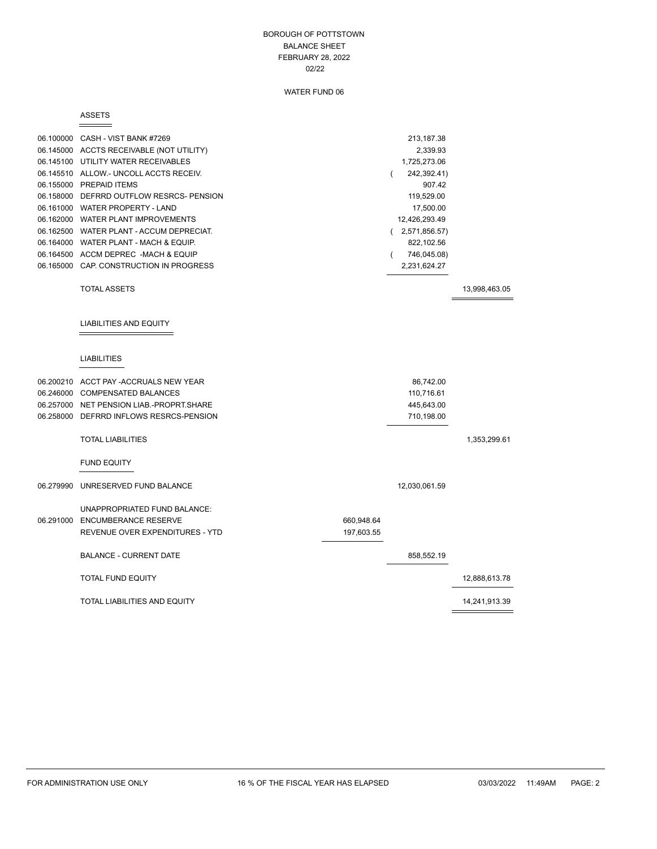### BOROUGH OF POTTSTOWN BALANCE SHEET FEBRUARY 28, 2022 02/22

# WATER FUND 06

#### ASSETS

 $\overline{\phantom{0}}$ 

 $\equiv$ 

|           | 06.100000 CASH - VIST BANK #7269<br>06.145000 ACCTS RECEIVABLE (NOT UTILITY)<br>06.145100 UTILITY WATER RECEIVABLES<br>06.145510 ALLOW.- UNCOLL ACCTS RECEIV.<br>06.155000 PREPAID ITEMS<br>06.158000 DEFRRD OUTFLOW RESRCS- PENSION<br>06.161000 WATER PROPERTY - LAND<br>06.162000 WATER PLANT IMPROVEMENTS<br>06.162500 WATER PLANT - ACCUM DEPRECIAT.<br>06.164000 WATER PLANT - MACH & EQUIP.<br>06.164500 ACCM DEPREC -MACH & EQUIP<br>06.165000 CAP. CONSTRUCTION IN PROGRESS |                          | 213,187.38<br>2,339.93<br>1,725,273.06<br>242,392.41)<br>$\left($<br>907.42<br>119,529.00<br>17,500.00<br>12,426,293.49<br>(2,571,856.57)<br>822,102.56<br>746,045.08)<br>- 1<br>2,231,624.27 |               |
|-----------|--------------------------------------------------------------------------------------------------------------------------------------------------------------------------------------------------------------------------------------------------------------------------------------------------------------------------------------------------------------------------------------------------------------------------------------------------------------------------------------|--------------------------|-----------------------------------------------------------------------------------------------------------------------------------------------------------------------------------------------|---------------|
|           | <b>TOTAL ASSETS</b>                                                                                                                                                                                                                                                                                                                                                                                                                                                                  |                          |                                                                                                                                                                                               | 13,998,463.05 |
|           | LIABILITIES AND EQUITY<br><b>LIABILITIES</b>                                                                                                                                                                                                                                                                                                                                                                                                                                         |                          |                                                                                                                                                                                               |               |
|           |                                                                                                                                                                                                                                                                                                                                                                                                                                                                                      |                          |                                                                                                                                                                                               |               |
|           | 06.200210 ACCT PAY - ACCRUALS NEW YEAR<br>06.246000 COMPENSATED BALANCES<br>06.257000 NET PENSION LIAB.-PROPRT.SHARE<br>06.258000 DEFRRD INFLOWS RESRCS-PENSION                                                                                                                                                                                                                                                                                                                      |                          | 86,742.00<br>110,716.61<br>445,643.00<br>710,198.00                                                                                                                                           |               |
|           | <b>TOTAL LIABILITIES</b>                                                                                                                                                                                                                                                                                                                                                                                                                                                             |                          |                                                                                                                                                                                               | 1,353,299.61  |
|           | <b>FUND EQUITY</b>                                                                                                                                                                                                                                                                                                                                                                                                                                                                   |                          |                                                                                                                                                                                               |               |
| 06.279990 | UNRESERVED FUND BALANCE                                                                                                                                                                                                                                                                                                                                                                                                                                                              |                          | 12,030,061.59                                                                                                                                                                                 |               |
|           | UNAPPROPRIATED FUND BALANCE:<br>06.291000 ENCUMBERANCE RESERVE<br>REVENUE OVER EXPENDITURES - YTD                                                                                                                                                                                                                                                                                                                                                                                    | 660,948.64<br>197,603.55 |                                                                                                                                                                                               |               |
|           | <b>BALANCE - CURRENT DATE</b>                                                                                                                                                                                                                                                                                                                                                                                                                                                        |                          | 858,552.19                                                                                                                                                                                    |               |
|           | <b>TOTAL FUND EQUITY</b>                                                                                                                                                                                                                                                                                                                                                                                                                                                             |                          |                                                                                                                                                                                               | 12,888,613.78 |
|           | <b>TOTAL LIABILITIES AND EQUITY</b>                                                                                                                                                                                                                                                                                                                                                                                                                                                  |                          |                                                                                                                                                                                               | 14,241,913.39 |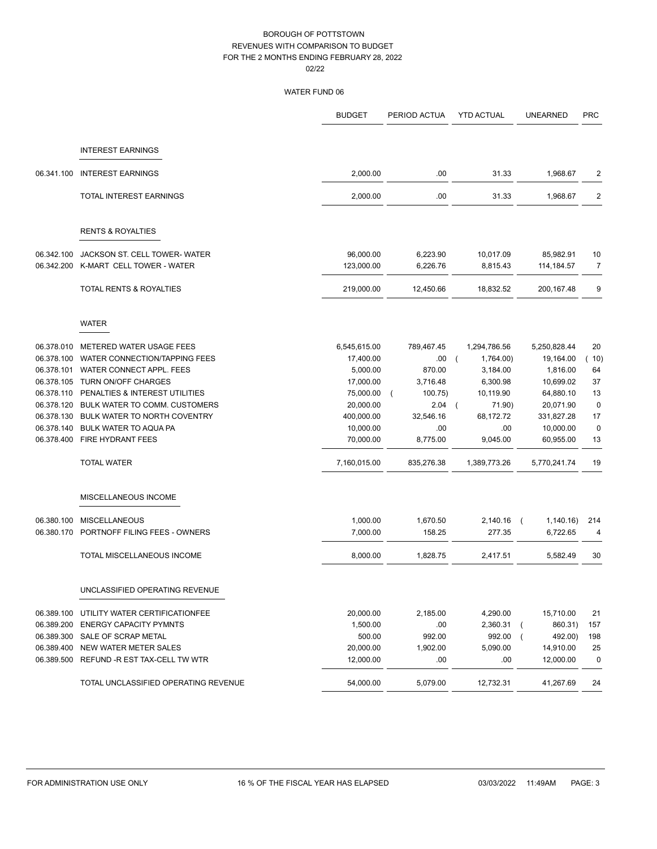|            |                                           | <b>BUDGET</b> | PERIOD ACTUA | <b>YTD ACTUAL</b>       | <b>UNEARNED</b>             | <b>PRC</b>  |
|------------|-------------------------------------------|---------------|--------------|-------------------------|-----------------------------|-------------|
|            |                                           |               |              |                         |                             |             |
|            | <b>INTEREST EARNINGS</b>                  |               |              |                         |                             |             |
| 06.341.100 | <b>INTEREST EARNINGS</b>                  | 2,000.00      | .00.         | 31.33                   | 1,968.67                    | 2           |
|            | TOTAL INTEREST EARNINGS                   | 2,000.00      | .00.         | 31.33                   | 1,968.67                    | 2           |
|            | <b>RENTS &amp; ROYALTIES</b>              |               |              |                         |                             |             |
| 06.342.100 | JACKSON ST. CELL TOWER- WATER             | 96,000.00     | 6,223.90     | 10,017.09               | 85,982.91                   | 10          |
| 06.342.200 | K-MART CELL TOWER - WATER                 | 123,000.00    | 6,226.76     | 8,815.43                | 114, 184.57                 | 7           |
|            | TOTAL RENTS & ROYALTIES                   | 219,000.00    | 12,450.66    | 18,832.52               | 200, 167.48                 | 9           |
|            | <b>WATER</b>                              |               |              |                         |                             |             |
| 06.378.010 | METERED WATER USAGE FEES                  | 6,545,615.00  | 789,467.45   | 1,294,786.56            | 5,250,828.44                | 20          |
|            | 06.378.100 WATER CONNECTION/TAPPING FEES  | 17,400.00     | .00.         | 1,764.00)<br>$\sqrt{2}$ | 19,164.00                   | (10)        |
|            | 06.378.101 WATER CONNECT APPL. FEES       | 5,000.00      | 870.00       | 3,184.00                | 1,816.00                    | 64          |
|            | 06.378.105 TURN ON/OFF CHARGES            | 17,000.00     | 3,716.48     | 6,300.98                | 10,699.02                   | 37          |
| 06.378.110 | PENALTIES & INTEREST UTILITIES            | 75,000.00     | 100.75)      | 10,119.90               | 64,880.10                   | 13          |
|            | 06.378.120 BULK WATER TO COMM. CUSTOMERS  | 20,000.00     | 2.04         | 71.90)<br>$\sqrt{2}$    | 20,071.90                   | $\mathbf 0$ |
|            | 06.378.130 BULK WATER TO NORTH COVENTRY   | 400,000.00    | 32,546.16    | 68,172.72               | 331,827.28                  | 17          |
| 06.378.140 | <b>BULK WATER TO AQUA PA</b>              | 10,000.00     | .00          | .00                     | 10,000.00                   | 0           |
|            | 06.378.400 FIRE HYDRANT FEES              | 70,000.00     | 8,775.00     | 9,045.00                | 60,955.00                   | 13          |
|            | <b>TOTAL WATER</b>                        | 7,160,015.00  | 835,276.38   | 1,389,773.26            | 5,770,241.74                | 19          |
|            | MISCELLANEOUS INCOME                      |               |              |                         |                             |             |
| 06.380.100 | <b>MISCELLANEOUS</b>                      | 1,000.00      | 1,670.50     | 2,140.16                | 1,140.16)<br>$\overline{ }$ | 214         |
|            | 06.380.170 PORTNOFF FILING FEES - OWNERS  | 7,000.00      | 158.25       | 277.35                  | 6,722.65                    | 4           |
|            | TOTAL MISCELLANEOUS INCOME                | 8,000.00      | 1,828.75     | 2,417.51                | 5,582.49                    | 30          |
|            | UNCLASSIFIED OPERATING REVENUE            |               |              |                         |                             |             |
|            | 06.389.100 UTILITY WATER CERTIFICATIONFEE | 20,000.00     | 2,185.00     | 4,290.00                | 15,710.00                   | 21          |
| 06.389.200 | <b>ENERGY CAPACITY PYMNTS</b>             | 1,500.00      | .00          | 2,360.31                | 860.31)                     | 157         |
|            | 06.389.300 SALE OF SCRAP METAL            | 500.00        | 992.00       | 992.00                  | 492.00)                     | 198         |
|            | 06.389.400 NEW WATER METER SALES          | 20,000.00     | 1,902.00     | 5,090.00                | 14,910.00                   | 25          |
|            | 06.389.500 REFUND -R EST TAX-CELL TW WTR  | 12,000.00     | .00.         | .00.                    | 12,000.00                   | $\pmb{0}$   |
|            | TOTAL UNCLASSIFIED OPERATING REVENUE      | 54,000.00     | 5,079.00     | 12,732.31               | 41,267.69                   | 24          |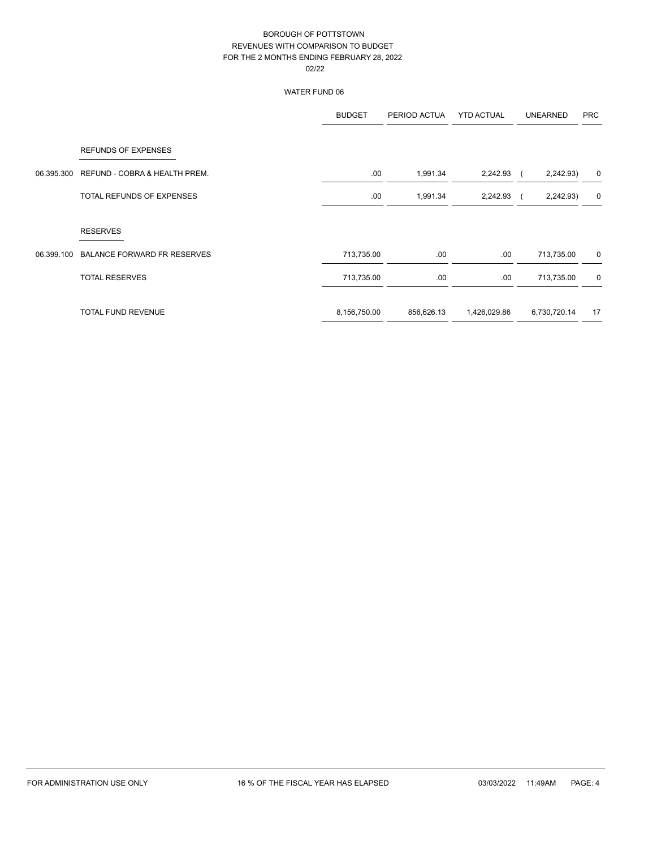|            |                                    | <b>BUDGET</b> | PERIOD ACTUA | <b>YTD ACTUAL</b> | <b>UNEARNED</b> | <b>PRC</b>  |
|------------|------------------------------------|---------------|--------------|-------------------|-----------------|-------------|
|            | <b>REFUNDS OF EXPENSES</b>         |               |              |                   |                 |             |
| 06.395.300 | REFUND - COBRA & HEALTH PREM.      | .00           | 1,991.34     | 2,242.93          | 2,242.93)       | 0           |
|            | TOTAL REFUNDS OF EXPENSES          | .00           | 1,991.34     | 2,242.93          | 2,242.93)       | 0           |
|            | <b>RESERVES</b>                    |               |              |                   |                 |             |
| 06.399.100 | <b>BALANCE FORWARD FR RESERVES</b> | 713,735.00    | .00.         | .00.              | 713,735.00      | 0           |
|            | <b>TOTAL RESERVES</b>              | 713,735.00    | .00.         | .00.              | 713,735.00      | $\mathbf 0$ |
|            | TOTAL FUND REVENUE                 | 8,156,750.00  | 856,626.13   | 1,426,029.86      | 6,730,720.14    | 17          |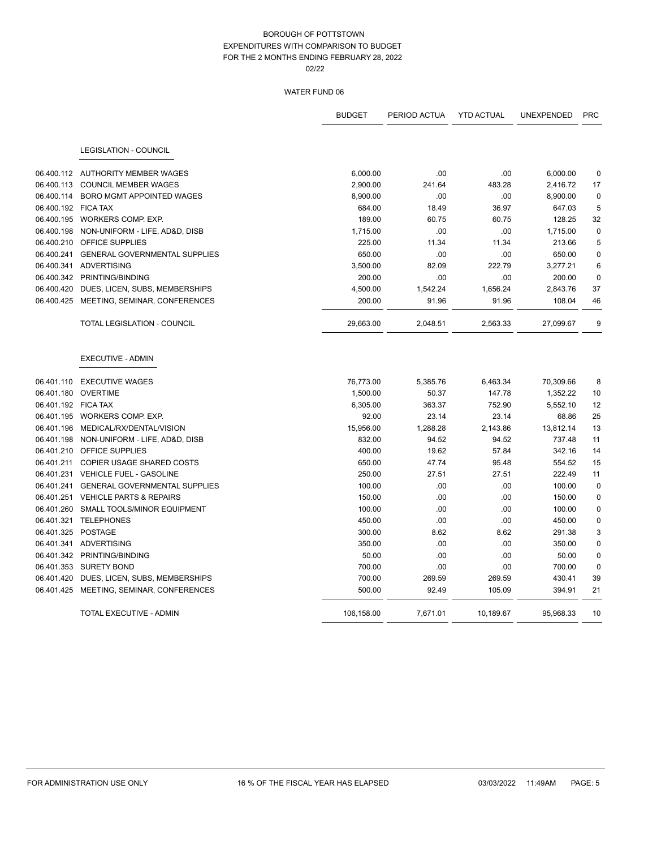|                     |                                           | <b>BUDGET</b> | PERIOD ACTUA | <b>YTD ACTUAL</b> | <b>UNEXPENDED</b> | <b>PRC</b>      |
|---------------------|-------------------------------------------|---------------|--------------|-------------------|-------------------|-----------------|
|                     | <b>LEGISLATION - COUNCIL</b>              |               |              |                   |                   |                 |
|                     | 06.400.112 AUTHORITY MEMBER WAGES         | 6,000.00      | .00          | .00               | 6,000.00          | 0               |
| 06.400.113          | <b>COUNCIL MEMBER WAGES</b>               | 2,900.00      | 241.64       | 483.28            | 2,416.72          | 17              |
|                     | 06.400.114 BORO MGMT APPOINTED WAGES      | 8,900.00      | .00          | .00               | 8,900.00          | $\mathbf 0$     |
| 06.400.192 FICA TAX |                                           | 684.00        | 18.49        | 36.97             | 647.03            | 5               |
|                     | 06.400.195 WORKERS COMP. EXP.             | 189.00        | 60.75        | 60.75             | 128.25            | 32              |
|                     | 06.400.198 NON-UNIFORM - LIFE, AD&D, DISB | 1,715.00      | .00          | .00               | 1,715.00          | $\mathbf 0$     |
|                     | 06.400.210 OFFICE SUPPLIES                | 225.00        | 11.34        | 11.34             | 213.66            | 5               |
|                     | 06.400.241 GENERAL GOVERNMENTAL SUPPLIES  | 650.00        | .00          | .00               | 650.00            | $\mathbf 0$     |
|                     | 06.400.341 ADVERTISING                    | 3,500.00      | 82.09        | 222.79            | 3,277.21          | $6\phantom{1}6$ |
|                     | 06.400.342 PRINTING/BINDING               | 200.00        | .00          | .00               | 200.00            | $\mathbf 0$     |
| 06.400.420          | DUES, LICEN, SUBS, MEMBERSHIPS            | 4,500.00      | 1,542.24     | 1,656.24          | 2,843.76          | 37              |
|                     | 06.400.425 MEETING, SEMINAR, CONFERENCES  | 200.00        | 91.96        | 91.96             | 108.04            | 46              |
|                     | TOTAL LEGISLATION - COUNCIL               | 29,663.00     | 2,048.51     | 2,563.33          | 27,099.67         | 9               |
|                     | <b>EXECUTIVE - ADMIN</b>                  |               |              |                   |                   |                 |
| 06.401.110          | <b>EXECUTIVE WAGES</b>                    | 76,773.00     | 5,385.76     | 6,463.34          | 70,309.66         | 8               |
|                     | 06.401.180 OVERTIME                       | 1,500.00      | 50.37        | 147.78            | 1,352.22          | 10              |
| 06.401.192 FICA TAX |                                           | 6,305.00      | 363.37       | 752.90            | 5,552.10          | 12              |
|                     | 06.401.195 WORKERS COMP. EXP.             | 92.00         | 23.14        | 23.14             | 68.86             | 25              |
|                     | 06.401.196 MEDICAL/RX/DENTAL/VISION       | 15,956.00     | 1,288.28     | 2,143.86          | 13,812.14         | 13              |
| 06.401.198          | NON-UNIFORM - LIFE, AD&D, DISB            | 832.00        | 94.52        | 94.52             | 737.48            | 11              |
|                     | 06.401.210 OFFICE SUPPLIES                | 400.00        | 19.62        | 57.84             | 342.16            | 14              |
|                     | 06.401.211 COPIER USAGE SHARED COSTS      | 650.00        | 47.74        | 95.48             | 554.52            | 15              |
|                     | 06.401.231 VEHICLE FUEL - GASOLINE        | 250.00        | 27.51        | 27.51             | 222.49            | 11              |
|                     | 06.401.241 GENERAL GOVERNMENTAL SUPPLIES  | 100.00        | .00          | .00               | 100.00            | $\mathbf 0$     |
|                     | 06.401.251 VEHICLE PARTS & REPAIRS        | 150.00        | .00          | .00               | 150.00            | $\mathbf 0$     |
| 06.401.260          | SMALL TOOLS/MINOR EQUIPMENT               | 100.00        | .00          | .00               | 100.00            | 0               |
|                     | 06.401.321 TELEPHONES                     | 450.00        | .00          | .00               | 450.00            | $\mathbf 0$     |
| 06.401.325 POSTAGE  |                                           | 300.00        | 8.62         | 8.62              | 291.38            | 3               |
|                     | 06.401.341 ADVERTISING                    | 350.00        | .00          | .00               | 350.00            | $\mathbf 0$     |
|                     | 06.401.342 PRINTING/BINDING               | 50.00         | .00          | .00               | 50.00             | 0               |
|                     | 06.401.353 SURETY BOND                    | 700.00        | .00          | .00               | 700.00            | $\mathbf 0$     |
|                     | 06.401.420 DUES, LICEN, SUBS, MEMBERSHIPS | 700.00        | 269.59       | 269.59            | 430.41            | 39              |
|                     | 06.401.425 MEETING, SEMINAR, CONFERENCES  | 500.00        | 92.49        | 105.09            | 394.91            | 21              |
|                     | TOTAL EXECUTIVE - ADMIN                   | 106,158.00    | 7,671.01     | 10,189.67         | 95,968.33         | 10              |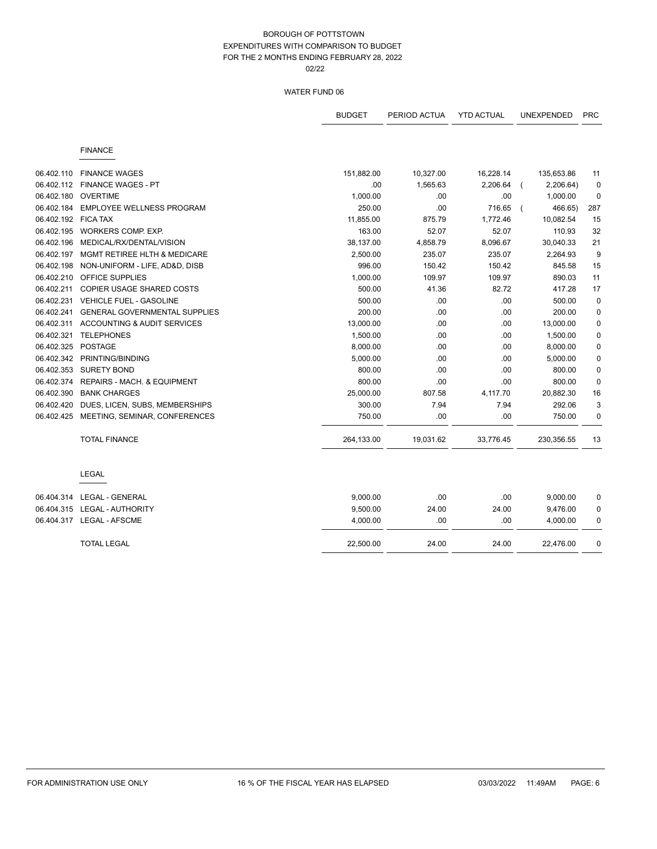|            |                                      | <b>BUDGET</b> | PERIOD ACTUA | <b>YTD ACTUAL</b> | <b>UNEXPENDED</b> | <b>PRC</b>  |
|------------|--------------------------------------|---------------|--------------|-------------------|-------------------|-------------|
|            | <b>FINANCE</b>                       |               |              |                   |                   |             |
| 06.402.110 | <b>FINANCE WAGES</b>                 | 151,882.00    | 10,327.00    | 16,228.14         | 135,653.86        | 11          |
| 06.402.112 | <b>FINANCE WAGES - PT</b>            | .00           | 1,565.63     | 2,206.64          | 2,206.64)         | $\mathbf 0$ |
| 06.402.180 | <b>OVERTIME</b>                      | 1,000.00      | .00          | .00               | 1,000.00          | $\pmb{0}$   |
| 06.402.184 | <b>EMPLOYEE WELLNESS PROGRAM</b>     | 250.00        | .00          | 716.65            | 466.65)           | 287         |
| 06.402.192 | <b>FICA TAX</b>                      | 11,855.00     | 875.79       | 1,772.46          | 10,082.54         | 15          |
| 06.402.195 | WORKERS COMP. EXP.                   | 163.00        | 52.07        | 52.07             | 110.93            | 32          |
| 06.402.196 | MEDICAL/RX/DENTAL/VISION             | 38,137.00     | 4,858.79     | 8,096.67          | 30,040.33         | 21          |
| 06.402.197 | MGMT RETIREE HLTH & MEDICARE         | 2,500.00      | 235.07       | 235.07            | 2,264.93          | 9           |
| 06.402.198 | NON-UNIFORM - LIFE, AD&D, DISB       | 996.00        | 150.42       | 150.42            | 845.58            | 15          |
| 06.402.210 | OFFICE SUPPLIES                      | 1,000.00      | 109.97       | 109.97            | 890.03            | 11          |
| 06.402.211 | COPIER USAGE SHARED COSTS            | 500.00        | 41.36        | 82.72             | 417.28            | 17          |
| 06.402.231 | VEHICLE FUEL - GASOLINE              | 500.00        | .00          | .00               | 500.00            | $\mathbf 0$ |
| 06.402.241 | <b>GENERAL GOVERNMENTAL SUPPLIES</b> | 200.00        | .00          | .00               | 200.00            | 0           |
| 06.402.311 | ACCOUNTING & AUDIT SERVICES          | 13,000.00     | .00          | .00               | 13,000.00         | 0           |
| 06.402.321 | <b>TELEPHONES</b>                    | 1,500.00      | .00          | .00               | 1,500.00          | 0           |
| 06.402.325 | <b>POSTAGE</b>                       | 8,000.00      | .00          | .00               | 8,000.00          | $\mathbf 0$ |
| 06.402.342 | PRINTING/BINDING                     | 5,000.00      | .00          | .00               | 5,000.00          | 0           |
| 06.402.353 | <b>SURETY BOND</b>                   | 800.00        | .00.         | .00               | 800.00            | $\mathbf 0$ |
| 06.402.374 | REPAIRS - MACH. & EQUIPMENT          | 800.00        | .00          | .00               | 800.00            | $\mathbf 0$ |
| 06.402.390 | <b>BANK CHARGES</b>                  | 25,000.00     | 807.58       | 4,117.70          | 20,882.30         | 16          |
| 06.402.420 | DUES, LICEN, SUBS, MEMBERSHIPS       | 300.00        | 7.94         | 7.94              | 292.06            | 3           |
| 06.402.425 | MEETING, SEMINAR, CONFERENCES        | 750.00        | .00          | .00               | 750.00            | $\mathbf 0$ |
|            | <b>TOTAL FINANCE</b>                 | 264,133.00    | 19,031.62    | 33,776.45         | 230,356.55        | 13          |
|            | <b>LEGAL</b>                         |               |              |                   |                   |             |
|            |                                      | 9,000.00      | .00          | .00               | 9,000.00          | 0           |
|            | 06.404.315 LEGAL - AUTHORITY         | 9,500.00      | 24.00        | 24.00             | 9,476.00          | 0           |
|            | 06.404.317 LEGAL - AFSCME            | 4,000.00      | .00          | .00               | 4,000.00          | 0           |
|            | <b>TOTAL LEGAL</b>                   | 22,500.00     | 24.00        | 24.00             | 22,476.00         | 0           |
|            |                                      |               |              |                   |                   |             |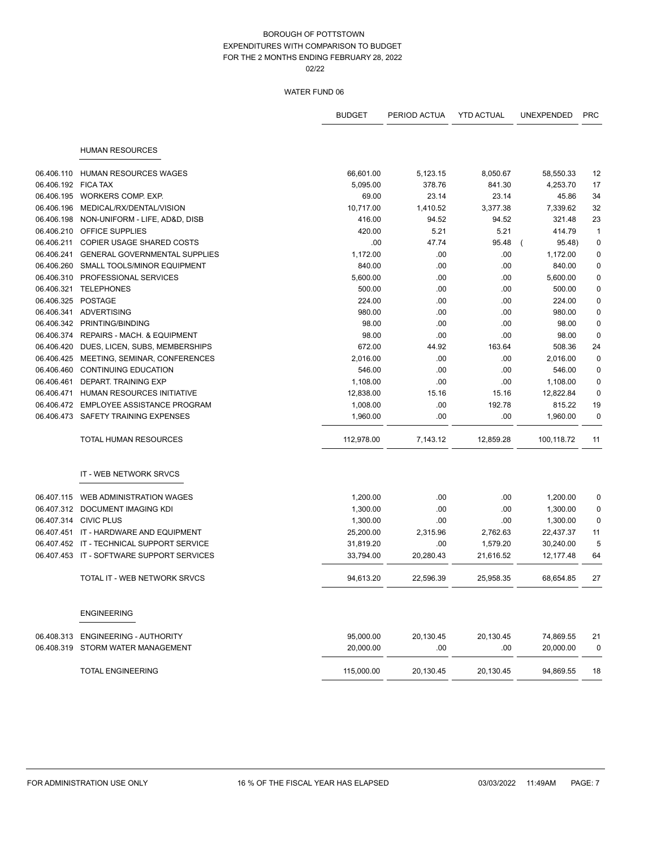|            |                                           | <b>BUDGET</b> | PERIOD ACTUA | <b>YTD ACTUAL</b> | <b>UNEXPENDED</b> | <b>PRC</b>   |
|------------|-------------------------------------------|---------------|--------------|-------------------|-------------------|--------------|
|            | <b>HUMAN RESOURCES</b>                    |               |              |                   |                   |              |
| 06.406.110 | <b>HUMAN RESOURCES WAGES</b>              | 66,601.00     | 5,123.15     | 8,050.67          | 58,550.33         | 12           |
| 06.406.192 | FICA TAX                                  | 5,095.00      | 378.76       | 841.30            | 4,253.70          | 17           |
| 06.406.195 | WORKERS COMP. EXP.                        | 69.00         | 23.14        | 23.14             | 45.86             | 34           |
| 06.406.196 | MEDICAL/RX/DENTAL/VISION                  | 10,717.00     | 1,410.52     | 3,377.38          | 7,339.62          | 32           |
| 06.406.198 | NON-UNIFORM - LIFE, AD&D, DISB            | 416.00        | 94.52        | 94.52             | 321.48            | 23           |
|            | 06.406.210 OFFICE SUPPLIES                | 420.00        | 5.21         | 5.21              | 414.79            | $\mathbf{1}$ |
| 06.406.211 | <b>COPIER USAGE SHARED COSTS</b>          | .00           | 47.74        | 95.48             | 95.48)            | $\pmb{0}$    |
| 06.406.241 | <b>GENERAL GOVERNMENTAL SUPPLIES</b>      | 1,172.00      | .00          | .00               | 1,172.00          | 0            |
| 06.406.260 | <b>SMALL TOOLS/MINOR EQUIPMENT</b>        | 840.00        | .00          | .00               | 840.00            | $\pmb{0}$    |
| 06.406.310 | PROFESSIONAL SERVICES                     | 5,600.00      | .00          | .00               | 5,600.00          | $\mathbf 0$  |
| 06.406.321 | <b>TELEPHONES</b>                         | 500.00        | .00          | .00               | 500.00            | $\mathbf 0$  |
| 06.406.325 | <b>POSTAGE</b>                            | 224.00        | .00          | .00               | 224.00            | $\pmb{0}$    |
| 06.406.341 | ADVERTISING                               | 980.00        | .00          | .00               | 980.00            | $\pmb{0}$    |
| 06.406.342 | PRINTING/BINDING                          | 98.00         | .00          | .00               | 98.00             | $\mathbf 0$  |
| 06.406.374 | REPAIRS - MACH. & EQUIPMENT               | 98.00         | .00          | .00               | 98.00             | $\mathbf 0$  |
| 06.406.420 | DUES, LICEN, SUBS, MEMBERSHIPS            | 672.00        | 44.92        | 163.64            | 508.36            | 24           |
| 06.406.425 | MEETING, SEMINAR, CONFERENCES             | 2,016.00      | .00          | .00               | 2,016.00          | $\mathbf 0$  |
| 06.406.460 | <b>CONTINUING EDUCATION</b>               | 546.00        | .00          | .00               | 546.00            | $\pmb{0}$    |
| 06.406.461 | DEPART. TRAINING EXP                      | 1,108.00      | .00          | .00               | 1,108.00          | $\mathbf 0$  |
| 06.406.471 | <b>HUMAN RESOURCES INITIATIVE</b>         | 12,838.00     | 15.16        | 15.16             | 12,822.84         | $\mathbf 0$  |
| 06.406.472 | <b>EMPLOYEE ASSISTANCE PROGRAM</b>        | 1,008.00      | .00          | 192.78            | 815.22            | 19           |
|            | 06.406.473 SAFETY TRAINING EXPENSES       | 1,960.00      | .00          | .00               | 1,960.00          | 0            |
|            | <b>TOTAL HUMAN RESOURCES</b>              | 112,978.00    | 7,143.12     | 12,859.28         | 100,118.72        | 11           |
|            | IT - WEB NETWORK SRVCS                    |               |              |                   |                   |              |
| 06.407.115 | WEB ADMINISTRATION WAGES                  | 1,200.00      | .00          | .00               | 1,200.00          | 0            |
|            | 06.407.312 DOCUMENT IMAGING KDI           | 1,300.00      | .00          | .00               | 1,300.00          | 0            |
|            | 06.407.314 CIVIC PLUS                     | 1,300.00      | .00          | .00               | 1,300.00          | $\mathbf 0$  |
| 06.407.451 | IT - HARDWARE AND EQUIPMENT               | 25,200.00     | 2,315.96     | 2,762.63          | 22,437.37         | 11           |
| 06.407.452 | IT - TECHNICAL SUPPORT SERVICE            | 31,819.20     | .00          | 1,579.20          | 30,240.00         | 5            |
|            | 06.407.453 IT - SOFTWARE SUPPORT SERVICES | 33,794.00     | 20,280.43    | 21,616.52         | 12,177.48         | 64           |
|            | <b>TOTAL IT - WEB NETWORK SRVCS</b>       | 94,613.20     | 22,596.39    | 25,958.35         | 68,654.85         | 27           |
|            | <b>ENGINEERING</b>                        |               |              |                   |                   |              |
| 06.408.313 | <b>ENGINEERING - AUTHORITY</b>            | 95,000.00     | 20,130.45    | 20,130.45         | 74,869.55         | 21           |
| 06.408.319 | STORM WATER MANAGEMENT                    | 20,000.00     | .00          | .00               | 20,000.00         | 0            |
|            | <b>TOTAL ENGINEERING</b>                  | 115,000.00    | 20,130.45    | 20,130.45         | 94,869.55         | 18           |
|            |                                           |               |              |                   |                   |              |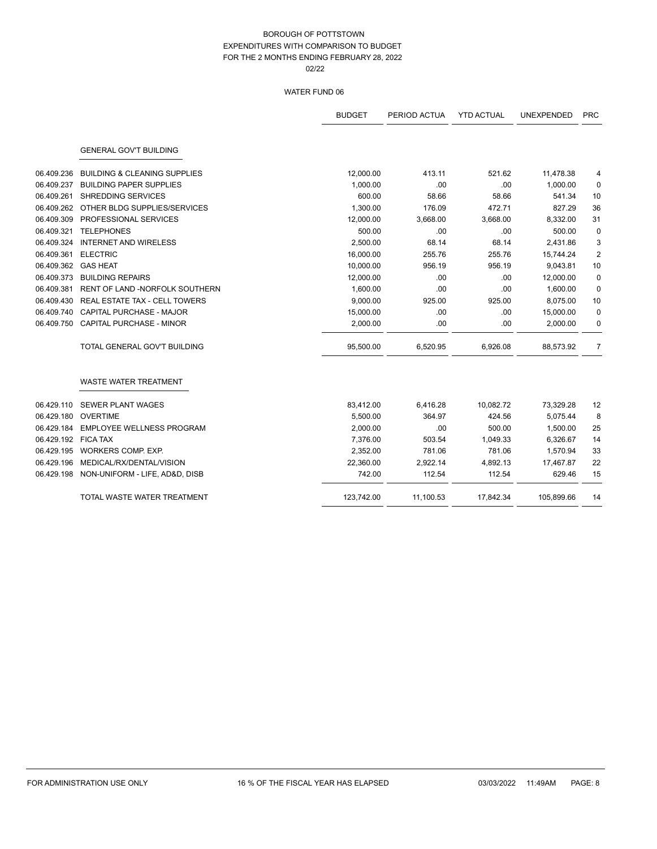|                     |                                         | <b>BUDGET</b> | PERIOD ACTUA | <b>YTD ACTUAL</b> | <b>UNEXPENDED</b> | <b>PRC</b>     |
|---------------------|-----------------------------------------|---------------|--------------|-------------------|-------------------|----------------|
|                     | <b>GENERAL GOV'T BUILDING</b>           |               |              |                   |                   |                |
| 06.409.236          | <b>BUILDING &amp; CLEANING SUPPLIES</b> | 12,000.00     | 413.11       | 521.62            | 11,478.38         | 4              |
| 06.409.237          | <b>BUILDING PAPER SUPPLIES</b>          | 1,000.00      | .00          | .00               | 1,000.00          | 0              |
| 06.409.261          | SHREDDING SERVICES                      | 600.00        | 58.66        | 58.66             | 541.34            | 10             |
| 06.409.262          | OTHER BLDG SUPPLIES/SERVICES            | 1,300.00      | 176.09       | 472.71            | 827.29            | 36             |
| 06.409.309          | PROFESSIONAL SERVICES                   | 12,000.00     | 3,668.00     | 3,668.00          | 8,332.00          | 31             |
| 06.409.321          | <b>TELEPHONES</b>                       | 500.00        | .00          | .00               | 500.00            | $\mathbf 0$    |
| 06.409.324          | <b>INTERNET AND WIRELESS</b>            | 2,500.00      | 68.14        | 68.14             | 2,431.86          | 3              |
| 06.409.361          | <b>ELECTRIC</b>                         | 16,000.00     | 255.76       | 255.76            | 15,744.24         | $\overline{2}$ |
| 06.409.362          | <b>GAS HEAT</b>                         | 10,000.00     | 956.19       | 956.19            | 9,043.81          | 10             |
| 06.409.373          | <b>BUILDING REPAIRS</b>                 | 12,000.00     | .00          | .00               | 12,000.00         | $\mathbf 0$    |
| 06.409.381          | RENT OF LAND -NORFOLK SOUTHERN          | 1,600.00      | .00.         | .00               | 1,600.00          | $\mathbf 0$    |
| 06.409.430          | <b>REAL ESTATE TAX - CELL TOWERS</b>    | 9,000.00      | 925.00       | 925.00            | 8,075.00          | 10             |
| 06.409.740          | <b>CAPITAL PURCHASE - MAJOR</b>         | 15,000.00     | .00.         | .00               | 15,000.00         | $\mathbf 0$    |
| 06.409.750          | <b>CAPITAL PURCHASE - MINOR</b>         | 2,000.00      | .00.         | .00               | 2,000.00          | 0              |
|                     | TOTAL GENERAL GOV'T BUILDING            | 95,500.00     | 6,520.95     | 6,926.08          | 88,573.92         | 7              |
|                     | <b>WASTE WATER TREATMENT</b>            |               |              |                   |                   |                |
| 06.429.110          | <b>SEWER PLANT WAGES</b>                | 83,412.00     | 6,416.28     | 10,082.72         | 73,329.28         | 12             |
| 06.429.180          | <b>OVERTIME</b>                         | 5,500.00      | 364.97       | 424.56            | 5,075.44          | 8              |
| 06.429.184          | <b>EMPLOYEE WELLNESS PROGRAM</b>        | 2,000.00      | .00          | 500.00            | 1,500.00          | 25             |
| 06.429.192 FICA TAX |                                         | 7,376.00      | 503.54       | 1,049.33          | 6,326.67          | 14             |
| 06.429.195          | WORKERS COMP. EXP.                      | 2,352.00      | 781.06       | 781.06            | 1,570.94          | 33             |
| 06.429.196          | MEDICAL/RX/DENTAL/VISION                | 22,360.00     | 2,922.14     | 4,892.13          | 17,467.87         | 22             |
| 06.429.198          | NON-UNIFORM - LIFE, AD&D, DISB          | 742.00        | 112.54       | 112.54            | 629.46            | 15             |
|                     | TOTAL WASTE WATER TREATMENT             | 123,742.00    | 11,100.53    | 17,842.34         | 105,899.66        | 14             |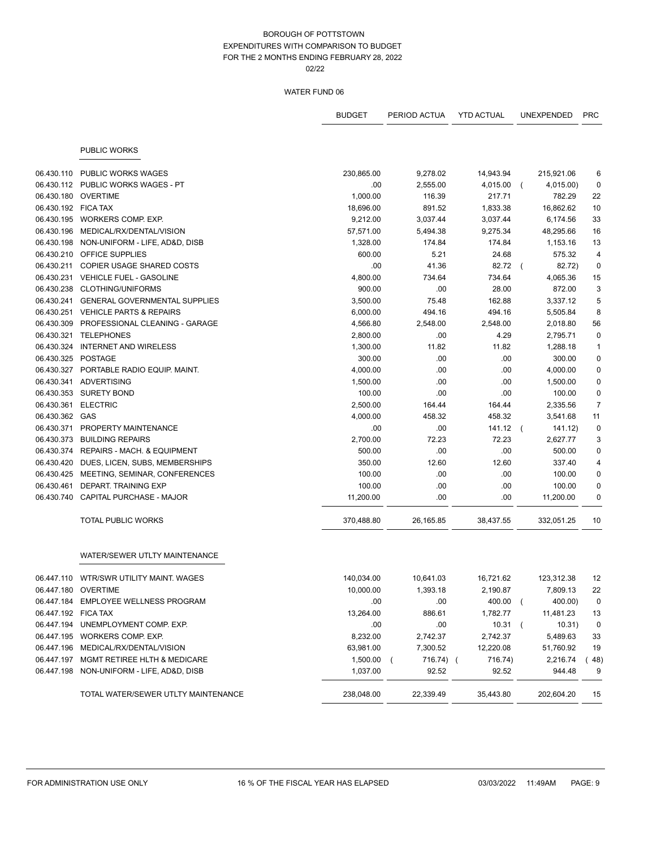|                     |                                           | <b>BUDGET</b>         | PERIOD ACTUA       | <b>YTD ACTUAL</b>    |                | <b>UNEXPENDED</b>     | <b>PRC</b>     |
|---------------------|-------------------------------------------|-----------------------|--------------------|----------------------|----------------|-----------------------|----------------|
|                     | <b>PUBLIC WORKS</b>                       |                       |                    |                      |                |                       |                |
|                     |                                           |                       |                    |                      |                |                       |                |
| 06.430.110          | <b>PUBLIC WORKS WAGES</b>                 | 230,865.00            | 9,278.02           | 14,943.94            |                | 215,921.06            | 6              |
| 06.430.112          | PUBLIC WORKS WAGES - PT                   | .00                   | 2,555.00           | 4,015.00             |                | 4,015.00)             | 0              |
|                     | 06.430.180 OVERTIME                       | 1,000.00              | 116.39             | 217.71               |                | 782.29                | 22             |
| 06.430.192 FICA TAX | 06.430.195 WORKERS COMP. EXP.             | 18,696.00             | 891.52<br>3,037.44 | 1,833.38             |                | 16,862.62<br>6,174.56 | 10<br>33       |
| 06.430.196          | MEDICAL/RX/DENTAL/VISION                  | 9,212.00<br>57,571.00 | 5,494.38           | 3,037.44<br>9,275.34 |                | 48,295.66             | 16             |
| 06.430.198          | NON-UNIFORM - LIFE, AD&D, DISB            | 1,328.00              | 174.84             | 174.84               |                | 1,153.16              | 13             |
|                     | 06.430.210 OFFICE SUPPLIES                | 600.00                | 5.21               | 24.68                |                | 575.32                | $\overline{4}$ |
|                     | 06.430.211 COPIER USAGE SHARED COSTS      | .00                   | 41.36              | 82.72                |                | 82.72)                | $\mathbf 0$    |
|                     | 06.430.231 VEHICLE FUEL - GASOLINE        | 4,800.00              | 734.64             | 734.64               |                | 4,065.36              | 15             |
|                     | 06.430.238 CLOTHING/UNIFORMS              | 900.00                | .00.               | 28.00                |                | 872.00                | 3              |
| 06.430.241          | <b>GENERAL GOVERNMENTAL SUPPLIES</b>      | 3,500.00              | 75.48              | 162.88               |                | 3,337.12              | 5              |
| 06.430.251          | <b>VEHICLE PARTS &amp; REPAIRS</b>        | 6,000.00              | 494.16             | 494.16               |                | 5,505.84              | 8              |
| 06.430.309          | PROFESSIONAL CLEANING - GARAGE            | 4,566.80              | 2,548.00           | 2,548.00             |                | 2,018.80              | 56             |
| 06.430.321          | <b>TELEPHONES</b>                         | 2,800.00              | .00                | 4.29                 |                | 2,795.71              | $\mathbf 0$    |
|                     | 06.430.324 INTERNET AND WIRELESS          | 1,300.00              | 11.82              | 11.82                |                | 1,288.18              | $\mathbf{1}$   |
| 06.430.325 POSTAGE  |                                           | 300.00                | .00                | .00                  |                | 300.00                | $\mathbf 0$    |
|                     | 06.430.327 PORTABLE RADIO EQUIP. MAINT.   | 4,000.00              | .00.               | .00                  |                | 4,000.00              | 0              |
|                     | 06.430.341 ADVERTISING                    | 1,500.00              | .00                | .00                  |                | 1,500.00              | 0              |
|                     | 06.430.353 SURETY BOND                    | 100.00                | .00                | .00                  |                | 100.00                | 0              |
| 06.430.361          | <b>ELECTRIC</b>                           | 2,500.00              | 164.44             | 164.44               |                | 2,335.56              | $\overline{7}$ |
| 06.430.362 GAS      |                                           | 4,000.00              | 458.32             | 458.32               |                | 3,541.68              | 11             |
| 06.430.371          | PROPERTY MAINTENANCE                      | .00                   | .00                | 141.12               | $\left($       | 141.12)               | $\pmb{0}$      |
| 06.430.373          | <b>BUILDING REPAIRS</b>                   | 2,700.00              | 72.23              | 72.23                |                | 2,627.77              | 3              |
| 06.430.374          | REPAIRS - MACH. & EQUIPMENT               | 500.00                | .00                | .00                  |                | 500.00                | 0              |
| 06.430.420          | DUES, LICEN, SUBS, MEMBERSHIPS            | 350.00                | 12.60              | 12.60                |                | 337.40                | 4              |
| 06.430.425          | MEETING, SEMINAR, CONFERENCES             | 100.00                | .00.               | .00                  |                | 100.00                | $\mathbf 0$    |
| 06.430.461          | DEPART. TRAINING EXP                      | 100.00                | .00.               | .00                  |                | 100.00                | 0              |
| 06.430.740          | CAPITAL PURCHASE - MAJOR                  | 11,200.00             | .00                | .00                  |                | 11,200.00             | 0              |
|                     | <b>TOTAL PUBLIC WORKS</b>                 | 370,488.80            | 26,165.85          | 38,437.55            |                | 332,051.25            | 10             |
|                     | WATER/SEWER UTLTY MAINTENANCE             |                       |                    |                      |                |                       |                |
|                     | 06.447.110 WTR/SWR UTILITY MAINT. WAGES   | 140,034.00            | 10,641.03          | 16,721.62            |                | 123,312.38            | 12             |
|                     | 06.447.180 OVERTIME                       | 10,000.00             | 1,393.18           | 2,190.87             |                | 7,809.13              | 22             |
|                     | 06.447.184 EMPLOYEE WELLNESS PROGRAM      | .00                   | .00                | 400.00               | $\overline{ }$ | 400.00)               | 0              |
| 06.447.192 FICA TAX |                                           | 13,264.00             | 886.61             | 1,782.77             |                | 11,481.23             | 13             |
|                     | 06.447.194 UNEMPLOYMENT COMP. EXP.        | .00                   | .00                | 10.31                |                | 10.31)                | $\pmb{0}$      |
|                     | 06.447.195 WORKERS COMP. EXP.             | 8,232.00              | 2,742.37           | 2,742.37             |                | 5,489.63              | 33             |
|                     | 06.447.196 MEDICAL/RX/DENTAL/VISION       | 63,981.00             | 7,300.52           | 12,220.08            |                | 51,760.92             | 19             |
|                     | 06.447.197 MGMT RETIREE HLTH & MEDICARE   | 1,500.00              | 716.74) (<br>(     | 716.74)              |                | 2,216.74              | (48)           |
|                     | 06.447.198 NON-UNIFORM - LIFE, AD&D, DISB | 1,037.00              | 92.52              | 92.52                |                | 944.48                | 9              |
|                     | TOTAL WATER/SEWER UTLTY MAINTENANCE       | 238,048.00            | 22,339.49          | 35,443.80            |                | 202,604.20            | 15             |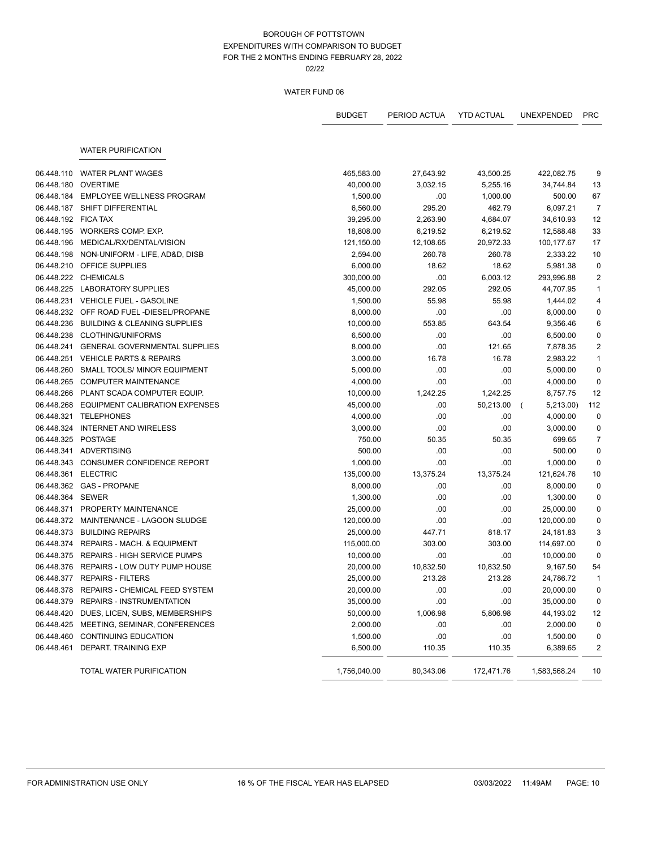# WATER FUND 06

|                     |                                           | <b>BUDGET</b> | PERIOD ACTUA | <b>YTD ACTUAL</b> | <b>UNEXPENDED</b> | <b>PRC</b>     |
|---------------------|-------------------------------------------|---------------|--------------|-------------------|-------------------|----------------|
|                     |                                           |               |              |                   |                   |                |
|                     | <b>WATER PURIFICATION</b>                 |               |              |                   |                   |                |
| 06.448.110          | <b>WATER PLANT WAGES</b>                  | 465,583.00    | 27,643.92    | 43,500.25         | 422,082.75        | 9              |
| 06.448.180          | <b>OVERTIME</b>                           | 40,000.00     | 3,032.15     | 5,255.16          | 34,744.84         | 13             |
| 06.448.184          | <b>EMPLOYEE WELLNESS PROGRAM</b>          | 1,500.00      | .00          | 1,000.00          | 500.00            | 67             |
|                     | 06.448.187 SHIFT DIFFERENTIAL             | 6,560.00      | 295.20       | 462.79            | 6,097.21          | $\overline{7}$ |
| 06.448.192 FICA TAX |                                           | 39,295.00     | 2,263.90     | 4,684.07          | 34,610.93         | 12             |
|                     | 06.448.195 WORKERS COMP. EXP.             | 18,808.00     | 6,219.52     | 6,219.52          | 12,588.48         | 33             |
| 06.448.196          | MEDICAL/RX/DENTAL/VISION                  | 121,150.00    | 12,108.65    | 20,972.33         | 100,177.67        | 17             |
| 06.448.198          | NON-UNIFORM - LIFE, AD&D, DISB            | 2,594.00      | 260.78       | 260.78            | 2,333.22          | 10             |
| 06.448.210          | <b>OFFICE SUPPLIES</b>                    | 6,000.00      | 18.62        | 18.62             | 5,981.38          | $\mathbf 0$    |
|                     | 06.448.222 CHEMICALS                      | 300,000.00    | .00          | 6,003.12          | 293,996.88        | $\overline{2}$ |
| 06.448.225          | <b>LABORATORY SUPPLIES</b>                | 45,000.00     | 292.05       | 292.05            | 44,707.95         | $\mathbf{1}$   |
|                     | 06.448.231 VEHICLE FUEL - GASOLINE        | 1,500.00      | 55.98        | 55.98             | 1,444.02          | 4              |
|                     | 06.448.232 OFF ROAD FUEL-DIESEL/PROPANE   | 8,000.00      | .00          | .00               | 8,000.00          | $\pmb{0}$      |
| 06.448.236          | <b>BUILDING &amp; CLEANING SUPPLIES</b>   | 10,000.00     | 553.85       | 643.54            | 9,356.46          | 6              |
| 06.448.238          | <b>CLOTHING/UNIFORMS</b>                  | 6,500.00      | .00          | .00               | 6,500.00          | $\pmb{0}$      |
|                     | 06.448.241 GENERAL GOVERNMENTAL SUPPLIES  | 8,000.00      | .00          | 121.65            | 7,878.35          | $\sqrt{2}$     |
|                     | 06.448.251 VEHICLE PARTS & REPAIRS        | 3,000.00      | 16.78        | 16.78             | 2,983.22          | $\mathbf{1}$   |
| 06.448.260          | SMALL TOOLS/ MINOR EQUIPMENT              | 5,000.00      | .00          | .00               | 5,000.00          | $\pmb{0}$      |
| 06.448.265          | <b>COMPUTER MAINTENANCE</b>               | 4,000.00      | .00          | .00               | 4,000.00          | $\mathbf 0$    |
| 06.448.266          | PLANT SCADA COMPUTER EQUIP.               | 10,000.00     | 1,242.25     | 1,242.25          | 8,757.75          | 12             |
| 06.448.268          | <b>EQUIPMENT CALIBRATION EXPENSES</b>     | 45,000.00     | .00          | 50,213.00         | 5,213.00)         | 112            |
| 06.448.321          | <b>TELEPHONES</b>                         | 4,000.00      | .00          | .00               | 4,000.00          | $\pmb{0}$      |
| 06.448.324          | <b>INTERNET AND WIRELESS</b>              | 3,000.00      | .00          | .00               | 3,000.00          | 0              |
| 06.448.325 POSTAGE  |                                           | 750.00        | 50.35        | 50.35             | 699.65            | $\overline{7}$ |
|                     | 06.448.341 ADVERTISING                    | 500.00        | .00          | .00               | 500.00            | $\pmb{0}$      |
|                     | 06.448.343 CONSUMER CONFIDENCE REPORT     | 1,000.00      | .00          | .00               | 1,000.00          | $\mathbf 0$    |
|                     | 06.448.361 ELECTRIC                       | 135,000.00    | 13,375.24    | 13,375.24         | 121,624.76        | 10             |
|                     | 06.448.362 GAS - PROPANE                  | 8,000.00      | .00          | .00               | 8,000.00          | $\mathbf 0$    |
| 06.448.364 SEWER    |                                           | 1,300.00      | .00          | .00               | 1,300.00          | $\mathbf 0$    |
|                     | 06.448.371 PROPERTY MAINTENANCE           | 25,000.00     | .00          | .00               | 25,000.00         | $\pmb{0}$      |
|                     | 06.448.372 MAINTENANCE - LAGOON SLUDGE    | 120,000.00    | .00          | .00               | 120,000.00        | $\pmb{0}$      |
| 06.448.373          | <b>BUILDING REPAIRS</b>                   | 25,000.00     | 447.71       | 818.17            | 24,181.83         | 3              |
| 06.448.374          | <b>REPAIRS - MACH. &amp; EQUIPMENT</b>    | 115,000.00    | 303.00       | 303.00            | 114,697.00        | 0              |
|                     | 06.448.375 REPAIRS - HIGH SERVICE PUMPS   | 10,000.00     | .00          | .00               | 10,000.00         | $\mathbf 0$    |
|                     | 06.448.376 REPAIRS - LOW DUTY PUMP HOUSE  | 20,000.00     | 10,832.50    | 10,832.50         | 9,167.50          | 54             |
|                     | 06.448.377 REPAIRS - FILTERS              | 25,000.00     | 213.28       | 213.28            | 24,786.72         | $\mathbf{1}$   |
|                     | 06.448.378 REPAIRS - CHEMICAL FEED SYSTEM | 20,000.00     | .00          | .00               | 20,000.00         | 0              |
|                     | 06.448.379 REPAIRS - INSTRUMENTATION      | 35,000.00     | .00          | .00               | 35,000.00         | 0              |
|                     | 06.448.420 DUES, LICEN, SUBS, MEMBERSHIPS | 50,000.00     | 1,006.98     | 5,806.98          | 44,193.02         | 12             |
|                     | 06.448.425 MEETING, SEMINAR, CONFERENCES  | 2,000.00      | .00          | .00               | 2,000.00          | 0              |
|                     | 06.448.460 CONTINUING EDUCATION           | 1,500.00      | .00          | .00               | 1,500.00          | 0              |
|                     | 06.448.461 DEPART. TRAINING EXP           | 6,500.00      | 110.35       | 110.35            | 6,389.65          | 2              |
|                     | TOTAL WATER PURIFICATION                  | 1,756,040.00  | 80,343.06    | 172,471.76        | 1,583,568.24      | 10             |

 $-$ 

- -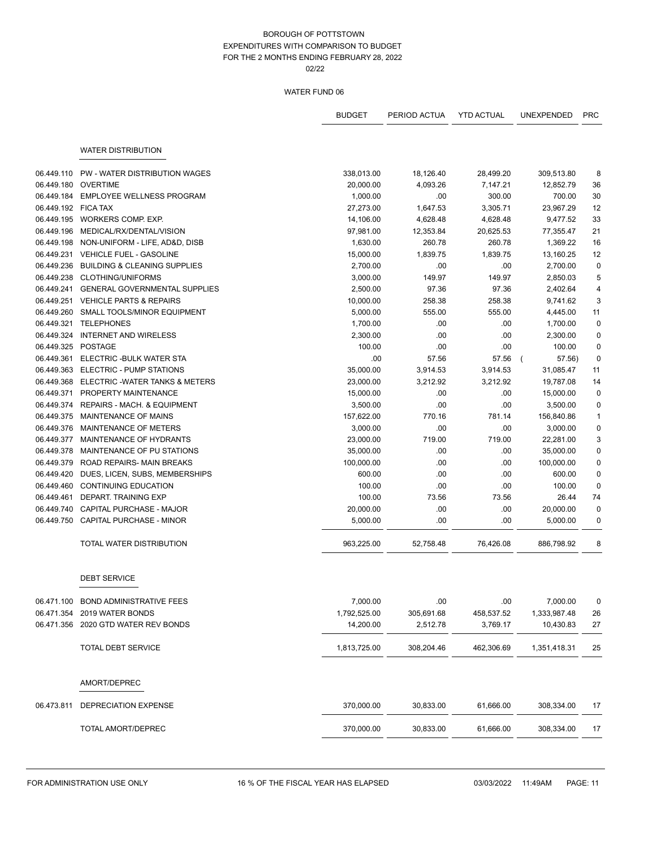|                     |                                         | <b>BUDGET</b> | PERIOD ACTUA | <b>YTD ACTUAL</b> | <b>UNEXPENDED</b> | <b>PRC</b>                |
|---------------------|-----------------------------------------|---------------|--------------|-------------------|-------------------|---------------------------|
|                     | <b>WATER DISTRIBUTION</b>               |               |              |                   |                   |                           |
|                     |                                         |               |              |                   |                   |                           |
| 06.449.110          | PW - WATER DISTRIBUTION WAGES           | 338,013.00    | 18,126.40    | 28,499.20         | 309,513.80        | 8                         |
| 06.449.180          | OVERTIME                                | 20,000.00     | 4,093.26     | 7,147.21          | 12,852.79         | 36                        |
|                     | 06.449.184 EMPLOYEE WELLNESS PROGRAM    | 1,000.00      | .00          | 300.00            | 700.00            | 30                        |
| 06.449.192 FICA TAX |                                         | 27,273.00     | 1,647.53     | 3,305.71          | 23,967.29         | 12                        |
|                     | 06.449.195 WORKERS COMP. EXP.           | 14,106.00     | 4,628.48     | 4,628.48          | 9,477.52          | 33                        |
|                     | 06.449.196 MEDICAL/RX/DENTAL/VISION     | 97,981.00     | 12,353.84    | 20,625.53         | 77,355.47         | 21                        |
| 06.449.198          | NON-UNIFORM - LIFE, AD&D, DISB          | 1,630.00      | 260.78       | 260.78            | 1,369.22          | 16                        |
| 06.449.231          | VEHICLE FUEL - GASOLINE                 | 15,000.00     | 1,839.75     | 1,839.75          | 13,160.25         | 12                        |
| 06.449.236          | <b>BUILDING &amp; CLEANING SUPPLIES</b> | 2,700.00      | .00          | .00.              | 2,700.00          | $\mathbf 0$               |
| 06.449.238          | <b>CLOTHING/UNIFORMS</b>                | 3,000.00      | 149.97       | 149.97            | 2,850.03          | 5                         |
| 06.449.241          | <b>GENERAL GOVERNMENTAL SUPPLIES</b>    | 2,500.00      | 97.36        | 97.36             | 2,402.64          | $\overline{4}$            |
| 06.449.251          | <b>VEHICLE PARTS &amp; REPAIRS</b>      | 10,000.00     | 258.38       | 258.38            | 9,741.62          | $\ensuremath{\mathsf{3}}$ |
| 06.449.260          | SMALL TOOLS/MINOR EQUIPMENT             | 5,000.00      | 555.00       | 555.00            | 4,445.00          | 11                        |
| 06.449.321          | <b>TELEPHONES</b>                       | 1,700.00      | .00          | .00.              | 1,700.00          | $\mathbf 0$               |
| 06.449.324          | <b>INTERNET AND WIRELESS</b>            | 2,300.00      | .00          | .00.              | 2,300.00          | $\mathbf 0$               |
| 06.449.325          | POSTAGE                                 | 100.00        | .00          | .00               | 100.00            | $\pmb{0}$                 |
| 06.449.361          | ELECTRIC - BULK WATER STA               | .00           | 57.56        | 57.56             | 57.56)            | $\pmb{0}$                 |
|                     | 06.449.363 ELECTRIC - PUMP STATIONS     | 35,000.00     | 3,914.53     | 3,914.53          | 31,085.47         | 11                        |
| 06.449.368          | ELECTRIC - WATER TANKS & METERS         | 23,000.00     | 3,212.92     | 3,212.92          | 19,787.08         | 14                        |
| 06.449.371          | PROPERTY MAINTENANCE                    | 15,000.00     | .00          | .00.              | 15,000.00         | $\mathbf 0$               |
|                     | 06.449.374 REPAIRS - MACH. & EQUIPMENT  | 3,500.00      | .00          | .00               | 3,500.00          | $\pmb{0}$                 |
| 06.449.375          | MAINTENANCE OF MAINS                    | 157,622.00    | 770.16       | 781.14            | 156,840.86        | $\mathbf{1}$              |
| 06.449.376          | MAINTENANCE OF METERS                   | 3,000.00      | .00          | .00               | 3,000.00          | $\pmb{0}$                 |
|                     | 06.449.377 MAINTENANCE OF HYDRANTS      | 23,000.00     | 719.00       | 719.00            | 22,281.00         | 3                         |
| 06.449.378          | MAINTENANCE OF PU STATIONS              | 35,000.00     | .00          | .00.              | 35,000.00         | $\mathbf 0$               |
|                     | 06.449.379 ROAD REPAIRS- MAIN BREAKS    | 100,000.00    | .00.         | .00.              | 100,000.00        | $\mathbf 0$               |
| 06.449.420          | DUES, LICEN, SUBS, MEMBERSHIPS          | 600.00        | .00          | .00               | 600.00            | $\pmb{0}$                 |
| 06.449.460          | <b>CONTINUING EDUCATION</b>             | 100.00        | .00          | .00               | 100.00            | $\pmb{0}$                 |
| 06.449.461          | DEPART. TRAINING EXP                    | 100.00        | 73.56        | 73.56             | 26.44             | 74                        |
| 06.449.740          | CAPITAL PURCHASE - MAJOR                | 20,000.00     | .00          | .00.              | 20,000.00         | $\mathbf 0$               |
| 06.449.750          | <b>CAPITAL PURCHASE - MINOR</b>         | 5,000.00      | .00.         | .00.              | 5,000.00          | $\pmb{0}$                 |
|                     | TOTAL WATER DISTRIBUTION                | 963,225.00    | 52,758.48    | 76,426.08         | 886,798.92        | 8                         |
|                     | <b>DEBT SERVICE</b>                     |               |              |                   |                   |                           |
|                     | 06.471.100 BOND ADMINISTRATIVE FEES     | 7,000.00      | .00          | .00.              | 7,000.00          | $\pmb{0}$                 |
| 06.471.354          | 2019 WATER BONDS                        | 1,792,525.00  | 305,691.68   | 458,537.52        | 1,333,987.48      | 26                        |
|                     | 06.471.356 2020 GTD WATER REV BONDS     | 14,200.00     | 2,512.78     | 3,769.17          | 10,430.83         | 27                        |
|                     | <b>TOTAL DEBT SERVICE</b>               | 1,813,725.00  | 308,204.46   | 462,306.69        | 1,351,418.31      | 25                        |
|                     | AMORT/DEPREC                            |               |              |                   |                   |                           |
| 06.473.811          | DEPRECIATION EXPENSE                    | 370,000.00    | 30,833.00    | 61,666.00         | 308,334.00        | 17                        |
|                     | TOTAL AMORT/DEPREC                      | 370,000.00    | 30,833.00    | 61,666.00         | 308,334.00        | 17                        |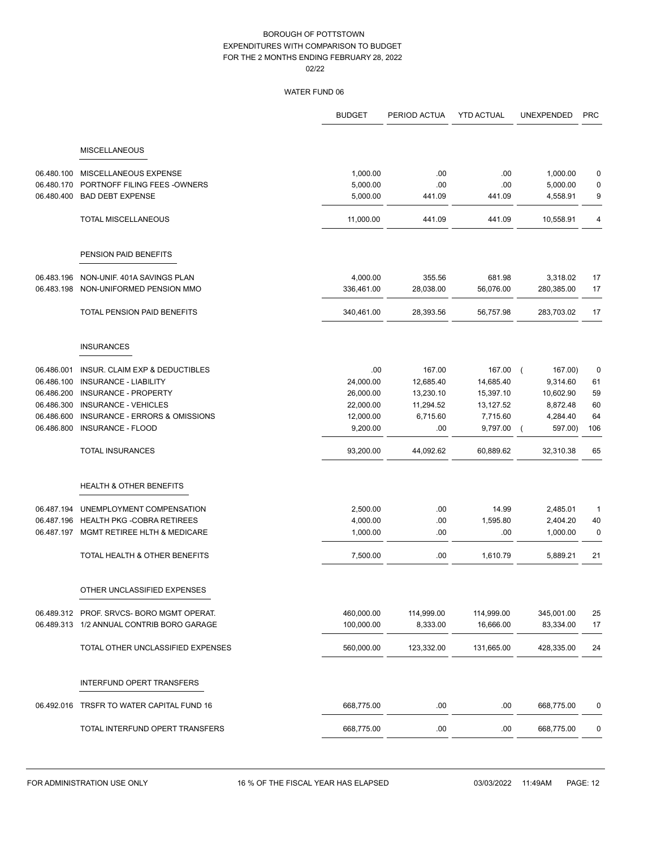|            |                                           | <b>BUDGET</b> | PERIOD ACTUA | <b>YTD ACTUAL</b> | <b>UNEXPENDED</b>   | <b>PRC</b>   |
|------------|-------------------------------------------|---------------|--------------|-------------------|---------------------|--------------|
|            | <b>MISCELLANEOUS</b>                      |               |              |                   |                     |              |
|            |                                           |               |              |                   |                     |              |
| 06.480.100 | MISCELLANEOUS EXPENSE                     | 1,000.00      | .00          | .00               | 1,000.00            | 0            |
| 06.480.170 | PORTNOFF FILING FEES - OWNERS             | 5,000.00      | .00          | .00               | 5,000.00            | 0            |
|            | 06.480.400 BAD DEBT EXPENSE               | 5,000.00      | 441.09       | 441.09            | 4,558.91            | 9            |
|            | <b>TOTAL MISCELLANEOUS</b>                | 11,000.00     | 441.09       | 441.09            | 10,558.91           | 4            |
|            | PENSION PAID BENEFITS                     |               |              |                   |                     |              |
| 06.483.196 | NON-UNIF. 401A SAVINGS PLAN               | 4,000.00      | 355.56       | 681.98            | 3,318.02            | 17           |
| 06.483.198 | NON-UNIFORMED PENSION MMO                 | 336,461.00    | 28,038.00    | 56,076.00         | 280,385.00          | 17           |
|            | TOTAL PENSION PAID BENEFITS               | 340,461.00    | 28,393.56    | 56,757.98         | 283,703.02          | 17           |
|            | <b>INSURANCES</b>                         |               |              |                   |                     |              |
| 06.486.001 | <b>INSUR. CLAIM EXP &amp; DEDUCTIBLES</b> | .00           | 167.00       | 167.00            | 167.00)<br>$\left($ | 0            |
| 06.486.100 | <b>INSURANCE - LIABILITY</b>              | 24,000.00     | 12,685.40    | 14,685.40         | 9,314.60            | 61           |
| 06.486.200 | <b>INSURANCE - PROPERTY</b>               | 26,000.00     | 13,230.10    | 15,397.10         | 10,602.90           | 59           |
| 06.486.300 | <b>INSURANCE - VEHICLES</b>               | 22,000.00     | 11,294.52    | 13,127.52         | 8,872.48            | 60           |
| 06.486.600 | <b>INSURANCE - ERRORS &amp; OMISSIONS</b> | 12,000.00     | 6,715.60     | 7,715.60          | 4,284.40            | 64           |
| 06.486.800 | INSURANCE - FLOOD                         | 9,200.00      | .00          | 9,797.00          | 597.00)             | 106          |
|            | <b>TOTAL INSURANCES</b>                   | 93,200.00     | 44,092.62    | 60,889.62         | 32,310.38           | 65           |
|            | <b>HEALTH &amp; OTHER BENEFITS</b>        |               |              |                   |                     |              |
| 06.487.194 | UNEMPLOYMENT COMPENSATION                 | 2,500.00      | .00.         | 14.99             | 2,485.01            | $\mathbf{1}$ |
| 06.487.196 | <b>HEALTH PKG -COBRA RETIREES</b>         | 4,000.00      | .00          | 1,595.80          | 2,404.20            | 40           |
|            | 06.487.197 MGMT RETIREE HLTH & MEDICARE   | 1,000.00      | .00          | .00               | 1,000.00            | $\pmb{0}$    |
|            | TOTAL HEALTH & OTHER BENEFITS             | 7,500.00      | .00          | 1,610.79          | 5,889.21            | 21           |
|            | OTHER UNCLASSIFIED EXPENSES               |               |              |                   |                     |              |
|            | 06.489.312 PROF. SRVCS-BORO MGMT OPERAT.  | 460,000.00    | 114,999.00   | 114,999.00        | 345,001.00          | 25           |
|            | 06.489.313 1/2 ANNUAL CONTRIB BORO GARAGE | 100,000.00    | 8,333.00     | 16,666.00         | 83,334.00           | 17           |
|            | TOTAL OTHER UNCLASSIFIED EXPENSES         | 560,000.00    | 123,332.00   | 131,665.00        | 428,335.00          | 24           |
|            | INTERFUND OPERT TRANSFERS                 |               |              |                   |                     |              |
| 06.492.016 | TRSFR TO WATER CAPITAL FUND 16            | 668,775.00    | .00          | .00               | 668,775.00          | 0            |
|            | TOTAL INTERFUND OPERT TRANSFERS           | 668,775.00    | .00          | .00               | 668,775.00          | 0            |
|            |                                           |               |              |                   |                     |              |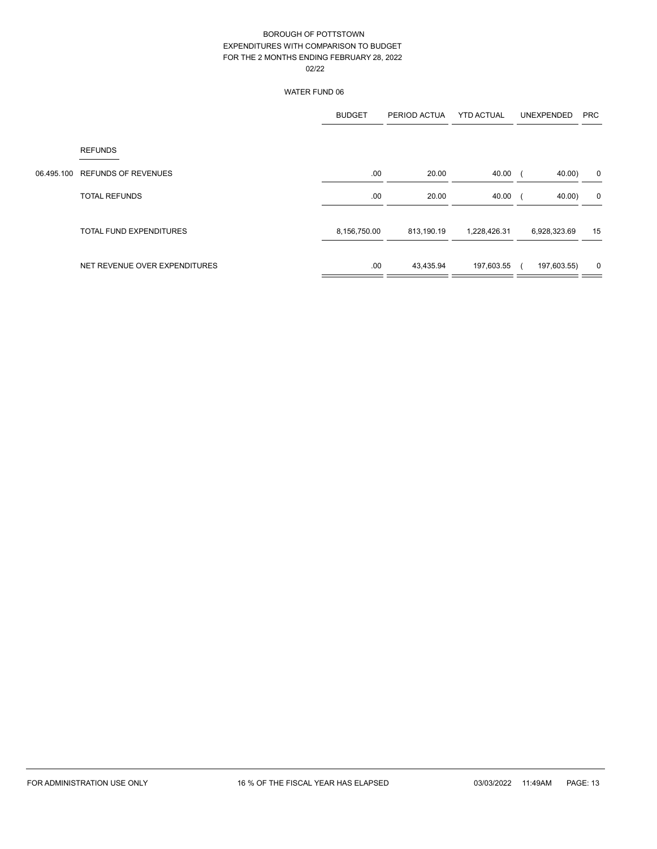|            |                               | <b>BUDGET</b> | PERIOD ACTUA | <b>YTD ACTUAL</b> | <b>UNEXPENDED</b> | <b>PRC</b> |
|------------|-------------------------------|---------------|--------------|-------------------|-------------------|------------|
|            | <b>REFUNDS</b>                |               |              |                   |                   |            |
| 06.495.100 | <b>REFUNDS OF REVENUES</b>    | .00.          | 20.00        | 40.00             | 40.00)            | 0          |
|            | <b>TOTAL REFUNDS</b>          | .00           | 20.00        | 40.00             | 40.00)            | 0          |
|            | TOTAL FUND EXPENDITURES       | 8,156,750.00  | 813,190.19   | 1,228,426.31      | 6,928,323.69      | 15         |
|            | NET REVENUE OVER EXPENDITURES | .00           | 43,435.94    | 197,603.55        | 197,603.55)       | 0          |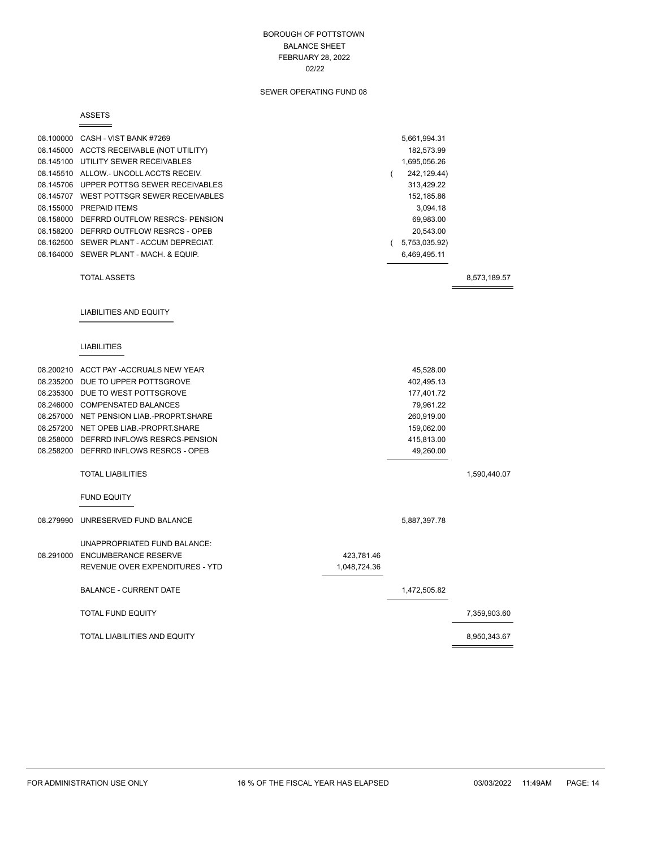### BOROUGH OF POTTSTOWN BALANCE SHEET FEBRUARY 28, 2022 02/22

# SEWER OPERATING FUND 08

#### ASSETS

|           | 08.100000 CASH - VIST BANK #7269         |              | 5,661,994.31      |              |
|-----------|------------------------------------------|--------------|-------------------|--------------|
|           | 08.145000 ACCTS RECEIVABLE (NOT UTILITY) |              | 182,573.99        |              |
|           | 08.145100 UTILITY SEWER RECEIVABLES      |              | 1,695,056.26      |              |
|           | 08.145510 ALLOW.- UNCOLL ACCTS RECEIV.   |              | 242, 129.44)<br>( |              |
|           | 08.145706 UPPER POTTSG SEWER RECEIVABLES |              | 313,429.22        |              |
|           | 08.145707 WEST POTTSGR SEWER RECEIVABLES |              | 152,185.86        |              |
|           | 08.155000 PREPAID ITEMS                  |              | 3,094.18          |              |
|           | 08.158000 DEFRRD OUTFLOW RESRCS- PENSION |              | 69,983.00         |              |
|           | 08.158200 DEFRRD OUTFLOW RESRCS - OPEB   |              | 20,543.00         |              |
|           | 08.162500 SEWER PLANT - ACCUM DEPRECIAT. |              | (5,753,035.92)    |              |
|           | 08.164000 SEWER PLANT - MACH. & EQUIP.   |              | 6,469,495.11      |              |
|           | <b>TOTAL ASSETS</b>                      |              |                   | 8,573,189.57 |
|           |                                          |              |                   |              |
|           | <b>LIABILITIES AND EQUITY</b>            |              |                   |              |
|           |                                          |              |                   |              |
|           | <b>LIABILITIES</b>                       |              |                   |              |
|           | 08.200210 ACCT PAY -ACCRUALS NEW YEAR    |              | 45,528.00         |              |
|           | 08.235200 DUE TO UPPER POTTSGROVE        |              | 402,495.13        |              |
|           | 08.235300 DUE TO WEST POTTSGROVE         |              | 177,401.72        |              |
|           | 08.246000 COMPENSATED BALANCES           |              | 79,961.22         |              |
|           | 08.257000 NET PENSION LIAB.-PROPRT.SHARE |              | 260,919.00        |              |
|           | 08.257200 NET OPEB LIAB.-PROPRT.SHARE    |              | 159,062.00        |              |
|           | 08.258000 DEFRRD INFLOWS RESRCS-PENSION  |              | 415,813.00        |              |
|           | 08.258200 DEFRRD INFLOWS RESRCS - OPEB   |              | 49,260.00         |              |
|           | <b>TOTAL LIABILITIES</b>                 |              |                   | 1,590,440.07 |
|           | <b>FUND EQUITY</b>                       |              |                   |              |
| 08.279990 | UNRESERVED FUND BALANCE                  |              | 5,887,397.78      |              |
|           | UNAPPROPRIATED FUND BALANCE:             |              |                   |              |
|           | 08.291000 ENCUMBERANCE RESERVE           | 423,781.46   |                   |              |
|           | REVENUE OVER EXPENDITURES - YTD          | 1,048,724.36 |                   |              |
|           | <b>BALANCE - CURRENT DATE</b>            |              | 1,472,505.82      |              |
|           | <b>TOTAL FUND EQUITY</b>                 |              |                   | 7,359,903.60 |
|           | <b>TOTAL LIABILITIES AND EQUITY</b>      |              |                   | 8,950,343.67 |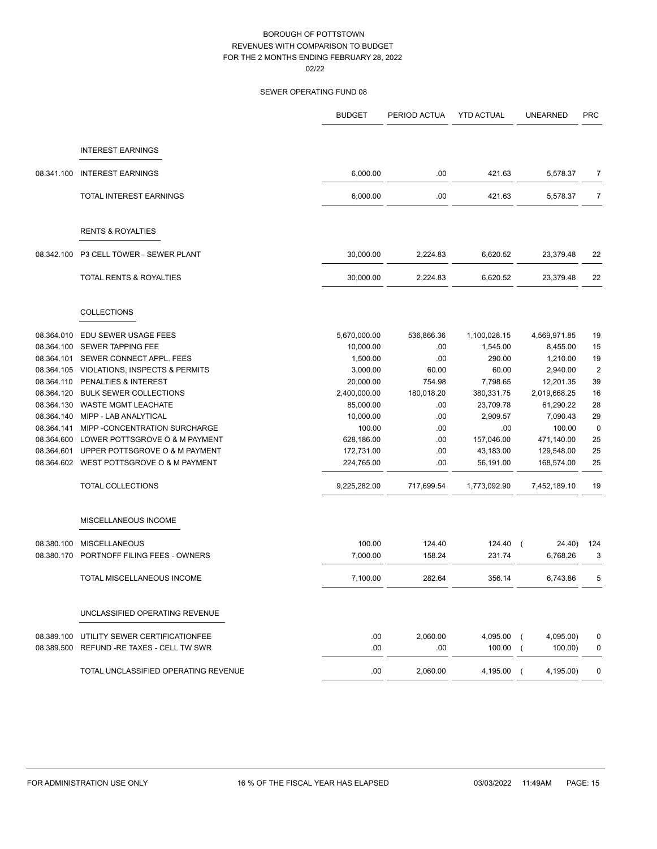|            |                                           | <b>BUDGET</b> | PERIOD ACTUA | <b>YTD ACTUAL</b> | <b>UNEARNED</b>             | <b>PRC</b>       |
|------------|-------------------------------------------|---------------|--------------|-------------------|-----------------------------|------------------|
|            |                                           |               |              |                   |                             |                  |
|            | <b>INTEREST EARNINGS</b>                  |               |              |                   |                             |                  |
| 08.341.100 | <b>INTEREST EARNINGS</b>                  | 6,000.00      | .00          | 421.63            | 5,578.37                    | 7                |
|            | TOTAL INTEREST EARNINGS                   | 6,000.00      | .00          | 421.63            | 5,578.37                    | 7                |
|            | <b>RENTS &amp; ROYALTIES</b>              |               |              |                   |                             |                  |
| 08.342.100 | P3 CELL TOWER - SEWER PLANT               | 30,000.00     | 2,224.83     | 6,620.52          | 23,379.48                   | 22               |
|            | <b>TOTAL RENTS &amp; ROYALTIES</b>        | 30,000.00     | 2,224.83     | 6,620.52          | 23,379.48                   | 22               |
|            | <b>COLLECTIONS</b>                        |               |              |                   |                             |                  |
| 08.364.010 | EDU SEWER USAGE FEES                      | 5,670,000.00  | 536,866.36   | 1,100,028.15      | 4,569,971.85                | 19               |
| 08.364.100 | SEWER TAPPING FEE                         | 10,000.00     | .00          | 1,545.00          | 8,455.00                    | 15               |
|            | 08.364.101 SEWER CONNECT APPL. FEES       | 1,500.00      | .00          | 290.00            | 1,210.00                    | 19               |
| 08.364.105 | <b>VIOLATIONS, INSPECTS &amp; PERMITS</b> | 3,000.00      | 60.00        | 60.00             | 2,940.00                    | $\boldsymbol{2}$ |
| 08.364.110 | PENALTIES & INTEREST                      | 20,000.00     | 754.98       | 7,798.65          | 12,201.35                   | 39               |
| 08.364.120 | <b>BULK SEWER COLLECTIONS</b>             | 2,400,000.00  | 180,018.20   | 380,331.75        | 2,019,668.25                | 16               |
|            | 08.364.130 WASTE MGMT LEACHATE            | 85,000.00     | .00          | 23,709.78         | 61,290.22                   | 28               |
| 08.364.140 | MIPP - LAB ANALYTICAL                     | 10,000.00     | .00          | 2,909.57          | 7,090.43                    | 29               |
| 08.364.141 | MIPP - CONCENTRATION SURCHARGE            | 100.00        | .00          | .00               | 100.00                      | $\mathbf 0$      |
| 08.364.600 | LOWER POTTSGROVE O & M PAYMENT            | 628,186.00    | .00          | 157,046.00        | 471,140.00                  | 25               |
| 08.364.601 | UPPER POTTSGROVE O & M PAYMENT            | 172,731.00    | .00          | 43,183.00         | 129,548.00                  | 25               |
|            | 08.364.602 WEST POTTSGROVE O & M PAYMENT  | 224,765.00    | .00          | 56,191.00         | 168,574.00                  | 25               |
|            | <b>TOTAL COLLECTIONS</b>                  | 9,225,282.00  | 717,699.54   | 1,773,092.90      | 7,452,189.10                | 19               |
|            | MISCELLANEOUS INCOME                      |               |              |                   |                             |                  |
| 08.380.100 | <b>MISCELLANEOUS</b>                      | 100.00        | 124.40       | 124.40            | 24.40)                      | 124              |
| 08.380.170 | PORTNOFF FILING FEES - OWNERS             | 7,000.00      | 158.24       | 231.74            | 6.768.26                    | 3                |
|            | TOTAL MISCELLANEOUS INCOME                | 7,100.00      | 282.64       | 356.14            | 6,743.86                    | 5                |
|            | UNCLASSIFIED OPERATING REVENUE            |               |              |                   |                             |                  |
|            | 08.389.100 UTILITY SEWER CERTIFICATIONFEE | .00           | 2,060.00     | 4,095.00          | 4,095.00)<br>$\overline{ }$ | 0                |
|            | 08.389.500 REFUND -RE TAXES - CELL TW SWR | .00           | .00          | 100.00            | 100.00                      | 0                |
|            | TOTAL UNCLASSIFIED OPERATING REVENUE      | .00           | 2,060.00     | 4,195.00          | 4,195.00)<br>$\left($       | 0                |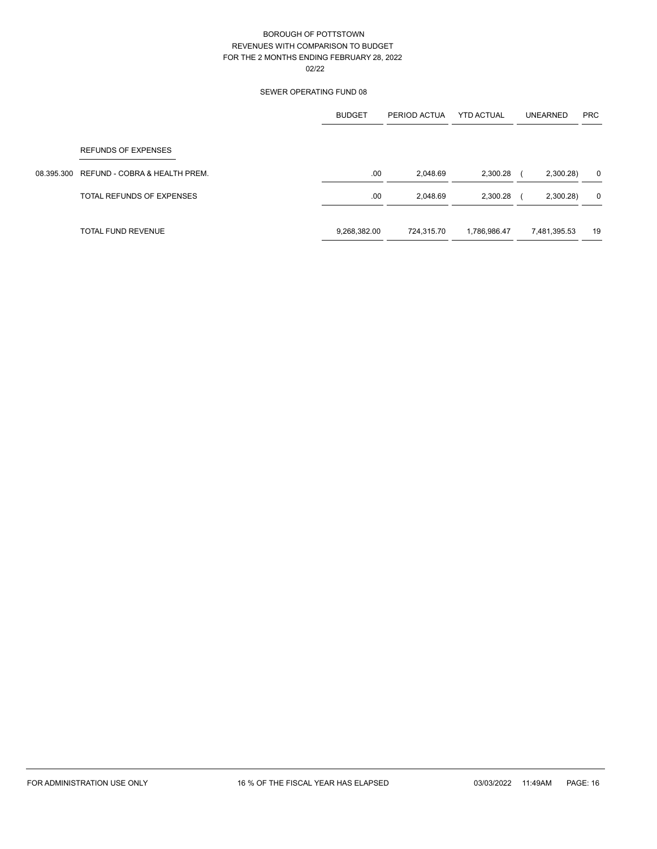|            |                               | <b>BUDGET</b> | PERIOD ACTUA | <b>YTD ACTUAL</b> | <b>UNEARNED</b> | <b>PRC</b>  |
|------------|-------------------------------|---------------|--------------|-------------------|-----------------|-------------|
|            | <b>REFUNDS OF EXPENSES</b>    |               |              |                   |                 |             |
| 08.395.300 | REFUND - COBRA & HEALTH PREM. | .00           | 2,048.69     | 2,300.28          | 2,300.28)       | 0           |
|            | TOTAL REFUNDS OF EXPENSES     | .00           | 2,048.69     | 2,300.28          | 2,300.28)       | $\mathbf 0$ |
|            | TOTAL FUND REVENUE            | 9,268,382.00  | 724.315.70   | 1,786,986.47      | 7,481,395.53    | 19          |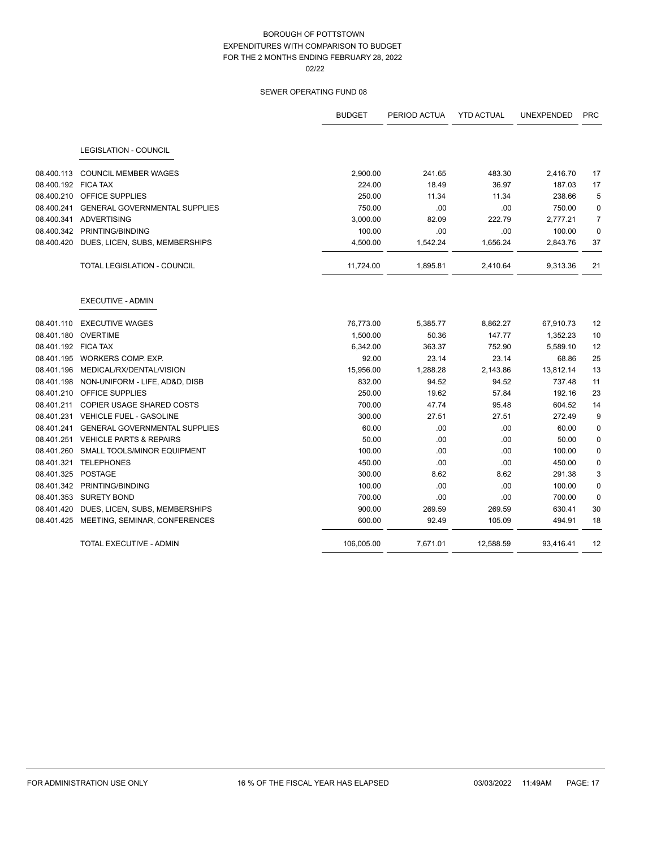|                     |                                           | <b>BUDGET</b> | PERIOD ACTUA | <b>YTD ACTUAL</b> | <b>UNEXPENDED</b> | <b>PRC</b>     |
|---------------------|-------------------------------------------|---------------|--------------|-------------------|-------------------|----------------|
|                     | <b>LEGISLATION - COUNCIL</b>              |               |              |                   |                   |                |
| 08.400.113          | <b>COUNCIL MEMBER WAGES</b>               | 2,900.00      | 241.65       | 483.30            | 2,416.70          | 17             |
| 08.400.192 FICA TAX |                                           | 224.00        | 18.49        | 36.97             | 187.03            | 17             |
|                     | 08.400.210 OFFICE SUPPLIES                | 250.00        | 11.34        | 11.34             | 238.66            | 5              |
| 08.400.241          | <b>GENERAL GOVERNMENTAL SUPPLIES</b>      | 750.00        | .00          | .00               | 750.00            | 0              |
| 08.400.341          | <b>ADVERTISING</b>                        | 3,000.00      | 82.09        | 222.79            | 2,777.21          | $\overline{7}$ |
|                     | 08.400.342 PRINTING/BINDING               | 100.00        | .00          | .00               | 100.00            | $\mathbf 0$    |
| 08.400.420          | DUES, LICEN, SUBS, MEMBERSHIPS            | 4,500.00      | 1,542.24     | 1,656.24          | 2,843.76          | 37             |
|                     | TOTAL LEGISLATION - COUNCIL               | 11,724.00     | 1,895.81     | 2,410.64          | 9,313.36          | 21             |
|                     | <b>EXECUTIVE - ADMIN</b>                  |               |              |                   |                   |                |
| 08.401.110          | <b>EXECUTIVE WAGES</b>                    | 76,773.00     | 5,385.77     | 8,862.27          | 67,910.73         | 12             |
| 08.401.180          | <b>OVERTIME</b>                           | 1,500.00      | 50.36        | 147.77            | 1,352.23          | 10             |
| 08.401.192 FICA TAX |                                           | 6,342.00      | 363.37       | 752.90            | 5,589.10          | 12             |
|                     | 08.401.195 WORKERS COMP. EXP.             | 92.00         | 23.14        | 23.14             | 68.86             | 25             |
| 08.401.196          | MEDICAL/RX/DENTAL/VISION                  | 15,956.00     | 1,288.28     | 2,143.86          | 13,812.14         | 13             |
|                     | 08.401.198 NON-UNIFORM - LIFE, AD&D, DISB | 832.00        | 94.52        | 94.52             | 737.48            | 11             |
| 08.401.210          | <b>OFFICE SUPPLIES</b>                    | 250.00        | 19.62        | 57.84             | 192.16            | 23             |
| 08.401.211          | COPIER USAGE SHARED COSTS                 | 700.00        | 47.74        | 95.48             | 604.52            | 14             |
| 08.401.231          | <b>VEHICLE FUEL - GASOLINE</b>            | 300.00        | 27.51        | 27.51             | 272.49            | 9              |
| 08.401.241          | <b>GENERAL GOVERNMENTAL SUPPLIES</b>      | 60.00         | .00.         | .00               | 60.00             | 0              |
| 08.401.251          | <b>VEHICLE PARTS &amp; REPAIRS</b>        | 50.00         | .00          | .00               | 50.00             | $\mathbf 0$    |
| 08.401.260          | SMALL TOOLS/MINOR EQUIPMENT               | 100.00        | .00          | .00               | 100.00            | 0              |
| 08.401.321          | <b>TELEPHONES</b>                         | 450.00        | .00          | .00               | 450.00            | 0              |
| 08.401.325          | POSTAGE                                   | 300.00        | 8.62         | 8.62              | 291.38            | 3              |
|                     | 08.401.342 PRINTING/BINDING               | 100.00        | .00          | .00               | 100.00            | $\mathbf 0$    |
| 08.401.353          | <b>SURETY BOND</b>                        | 700.00        | .00          | .00               | 700.00            | 0              |
| 08.401.420          | DUES, LICEN, SUBS, MEMBERSHIPS            | 900.00        | 269.59       | 269.59            | 630.41            | 30             |
|                     | 08.401.425 MEETING, SEMINAR, CONFERENCES  | 600.00        | 92.49        | 105.09            | 494.91            | 18             |
|                     | TOTAL EXECUTIVE - ADMIN                   | 106,005.00    | 7,671.01     | 12,588.59         | 93,416.41         | 12             |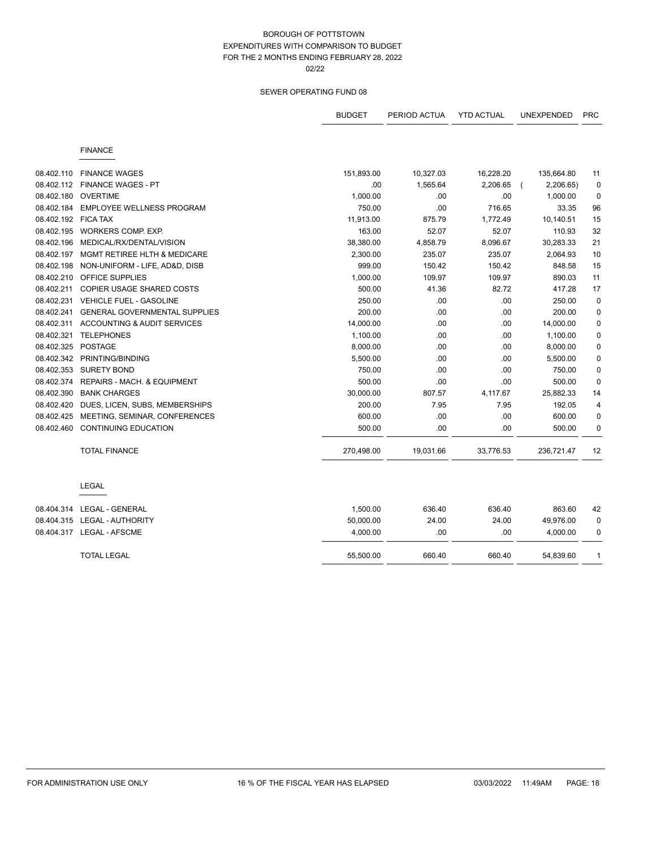|                     |                                         | <b>BUDGET</b> | PERIOD ACTUA | <b>YTD ACTUAL</b> | UNEXPENDED | <b>PRC</b>   |
|---------------------|-----------------------------------------|---------------|--------------|-------------------|------------|--------------|
|                     | <b>FINANCE</b>                          |               |              |                   |            |              |
| 08.402.110          | <b>FINANCE WAGES</b>                    | 151,893.00    | 10,327.03    | 16,228.20         | 135,664.80 | 11           |
| 08.402.112          | <b>FINANCE WAGES - PT</b>               | .00           | 1,565.64     | 2,206.65          | 2,206.65)  | $\mathbf 0$  |
| 08.402.180          | <b>OVERTIME</b>                         | 1,000.00      | .00          | .00               | 1,000.00   | $\mathbf 0$  |
| 08.402.184          | <b>EMPLOYEE WELLNESS PROGRAM</b>        | 750.00        | .00          | 716.65            | 33.35      | 96           |
| 08.402.192 FICA TAX |                                         | 11,913.00     | 875.79       | 1,772.49          | 10,140.51  | 15           |
|                     | 08.402.195 WORKERS COMP. EXP.           | 163.00        | 52.07        | 52.07             | 110.93     | 32           |
| 08.402.196          | MEDICAL/RX/DENTAL/VISION                | 38,380.00     | 4,858.79     | 8,096.67          | 30,283.33  | 21           |
| 08.402.197          | <b>MGMT RETIREE HLTH &amp; MEDICARE</b> | 2,300.00      | 235.07       | 235.07            | 2,064.93   | 10           |
| 08.402.198          | NON-UNIFORM - LIFE, AD&D, DISB          | 999.00        | 150.42       | 150.42            | 848.58     | 15           |
| 08.402.210          | <b>OFFICE SUPPLIES</b>                  | 1,000.00      | 109.97       | 109.97            | 890.03     | 11           |
| 08.402.211          | <b>COPIER USAGE SHARED COSTS</b>        | 500.00        | 41.36        | 82.72             | 417.28     | 17           |
| 08.402.231          | <b>VEHICLE FUEL - GASOLINE</b>          | 250.00        | .00          | .00               | 250.00     | $\mathbf 0$  |
| 08.402.241          | <b>GENERAL GOVERNMENTAL SUPPLIES</b>    | 200.00        | .00          | .00               | 200.00     | $\mathbf 0$  |
| 08.402.311          | ACCOUNTING & AUDIT SERVICES             | 14,000.00     | .00          | .00               | 14,000.00  | $\mathbf 0$  |
| 08.402.321          | <b>TELEPHONES</b>                       | 1,100.00      | .00          | .00               | 1,100.00   | 0            |
| 08.402.325          | POSTAGE                                 | 8,000.00      | .00          | .00               | 8,000.00   | 0            |
|                     | 08.402.342 PRINTING/BINDING             | 5,500.00      | .00          | .00               | 5,500.00   | 0            |
| 08.402.353          | <b>SURETY BOND</b>                      | 750.00        | .00          | .00               | 750.00     | $\mathbf 0$  |
| 08.402.374          | REPAIRS - MACH. & EQUIPMENT             | 500.00        | .00          | .00               | 500.00     | 0            |
| 08.402.390          | <b>BANK CHARGES</b>                     | 30,000.00     | 807.57       | 4,117.67          | 25,882.33  | 14           |
| 08.402.420          | DUES, LICEN, SUBS, MEMBERSHIPS          | 200.00        | 7.95         | 7.95              | 192.05     | 4            |
| 08.402.425          | MEETING, SEMINAR, CONFERENCES           | 600.00        | .00          | .00               | 600.00     | $\mathbf 0$  |
| 08.402.460          | <b>CONTINUING EDUCATION</b>             | 500.00        | .00          | .00               | 500.00     | 0            |
|                     | <b>TOTAL FINANCE</b>                    | 270,498.00    | 19,031.66    | 33,776.53         | 236,721.47 | 12           |
|                     | LEGAL                                   |               |              |                   |            |              |
|                     | 08.404.314    LEGAL - GENERAL           | 1,500.00      | 636.40       | 636.40            | 863.60     | 42           |
|                     | 08.404.315 LEGAL - AUTHORITY            | 50,000.00     | 24.00        | 24.00             | 49,976.00  | 0            |
|                     |                                         | 4,000.00      | .00          | .00               | 4,000.00   | 0            |
|                     | <b>TOTAL LEGAL</b>                      | 55,500.00     | 660.40       | 660.40            | 54,839.60  | $\mathbf{1}$ |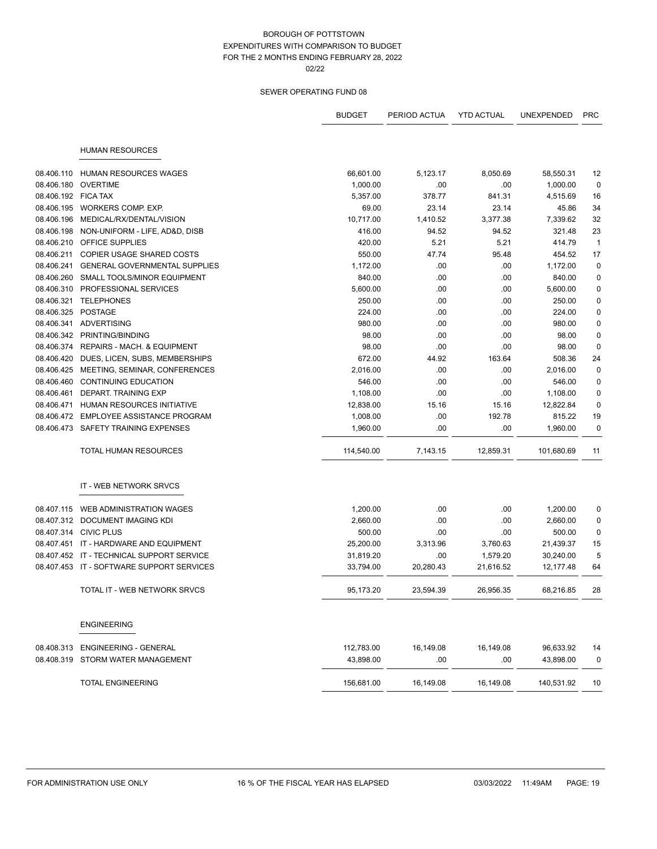|                     |                                           | <b>BUDGET</b> | PERIOD ACTUA | <b>YTD ACTUAL</b> | <b>UNEXPENDED</b> | <b>PRC</b>   |
|---------------------|-------------------------------------------|---------------|--------------|-------------------|-------------------|--------------|
|                     | <b>HUMAN RESOURCES</b>                    |               |              |                   |                   |              |
|                     |                                           |               |              |                   |                   |              |
| 08.406.110          | <b>HUMAN RESOURCES WAGES</b>              | 66,601.00     | 5,123.17     | 8,050.69          | 58,550.31         | 12           |
| 08.406.180          | OVERTIME                                  | 1,000.00      | .00          | .00               | 1,000.00          | $\mathbf 0$  |
| 08.406.192 FICA TAX |                                           | 5,357.00      | 378.77       | 841.31            | 4,515.69          | 16           |
|                     | 08.406.195 WORKERS COMP. EXP.             | 69.00         | 23.14        | 23.14             | 45.86             | 34           |
| 08.406.196          | MEDICAL/RX/DENTAL/VISION                  | 10,717.00     | 1,410.52     | 3,377.38          | 7,339.62          | 32           |
| 08.406.198          | NON-UNIFORM - LIFE, AD&D, DISB            | 416.00        | 94.52        | 94.52             | 321.48            | 23           |
| 08.406.210          | <b>OFFICE SUPPLIES</b>                    | 420.00        | 5.21         | 5.21              | 414.79            | $\mathbf{1}$ |
| 08.406.211          | COPIER USAGE SHARED COSTS                 | 550.00        | 47.74        | 95.48             | 454.52            | 17           |
| 08.406.241          | <b>GENERAL GOVERNMENTAL SUPPLIES</b>      | 1,172.00      | .00          | .00               | 1,172.00          | $\pmb{0}$    |
| 08.406.260          | SMALL TOOLS/MINOR EQUIPMENT               | 840.00        | .00          | .00               | 840.00            | $\mathbf 0$  |
| 08.406.310          | PROFESSIONAL SERVICES                     | 5,600.00      | .00          | .00               | 5,600.00          | $\pmb{0}$    |
|                     | 08.406.321 TELEPHONES                     | 250.00        | .00          | .00               | 250.00            | $\pmb{0}$    |
| 08.406.325          | POSTAGE                                   | 224.00        | .00          | .00               | 224.00            | 0            |
| 08.406.341          | ADVERTISING                               | 980.00        | .00          | .00               | 980.00            | $\pmb{0}$    |
|                     | 08.406.342 PRINTING/BINDING               | 98.00         | .00          | .00               | 98.00             | $\pmb{0}$    |
|                     | 08.406.374 REPAIRS - MACH. & EQUIPMENT    | 98.00         | .00          | .00               | 98.00             | $\mathbf 0$  |
| 08.406.420          | DUES, LICEN, SUBS, MEMBERSHIPS            | 672.00        | 44.92        | 163.64            | 508.36            | 24           |
|                     | 08.406.425 MEETING, SEMINAR, CONFERENCES  | 2,016.00      | .00          | .00               | 2,016.00          | $\pmb{0}$    |
| 08.406.460          | <b>CONTINUING EDUCATION</b>               | 546.00        | .00          | .00               | 546.00            | $\pmb{0}$    |
| 08.406.461          | DEPART. TRAINING EXP                      | 1,108.00      | .00          | .00               | 1,108.00          | $\mathbf 0$  |
| 08.406.471          | <b>HUMAN RESOURCES INITIATIVE</b>         | 12,838.00     | 15.16        | 15.16             | 12,822.84         | $\mathbf 0$  |
| 08.406.472          | EMPLOYEE ASSISTANCE PROGRAM               | 1,008.00      | .00          | 192.78            | 815.22            | 19           |
| 08.406.473          | SAFETY TRAINING EXPENSES                  | 1,960.00      | .00          | .00               | 1,960.00          | $\pmb{0}$    |
|                     | TOTAL HUMAN RESOURCES                     | 114,540.00    | 7,143.15     | 12,859.31         | 101,680.69        | 11           |
|                     | IT - WEB NETWORK SRVCS                    |               |              |                   |                   |              |
| 08.407.115          | WEB ADMINISTRATION WAGES                  | 1,200.00      | .00          | .00               | 1,200.00          | 0            |
|                     | 08.407.312 DOCUMENT IMAGING KDI           | 2,660.00      | .00          | .00               | 2,660.00          | $\pmb{0}$    |
|                     | 08.407.314 CIVIC PLUS                     | 500.00        | .00          | .00               | 500.00            | $\pmb{0}$    |
| 08.407.451          | IT - HARDWARE AND EQUIPMENT               | 25,200.00     | 3,313.96     | 3,760.63          | 21,439.37         | 15           |
|                     | 08.407.452 IT - TECHNICAL SUPPORT SERVICE | 31,819.20     | .00          | 1,579.20          | 30,240.00         | 5            |
|                     | 08.407.453 IT - SOFTWARE SUPPORT SERVICES | 33,794.00     | 20,280.43    | 21,616.52         | 12,177.48         | 64           |
|                     | TOTAL IT - WEB NETWORK SRVCS              | 95,173.20     | 23,594.39    | 26,956.35         | 68,216.85         | 28           |
|                     | <b>ENGINEERING</b>                        |               |              |                   |                   |              |
| 08.408.313          | <b>ENGINEERING - GENERAL</b>              | 112,783.00    | 16,149.08    | 16,149.08         | 96,633.92         | 14           |
| 08.408.319          | STORM WATER MANAGEMENT                    | 43,898.00     | .00          | .00               | 43,898.00         | 0            |
|                     | <b>TOTAL ENGINEERING</b>                  | 156,681.00    | 16,149.08    | 16,149.08         | 140,531.92        | 10           |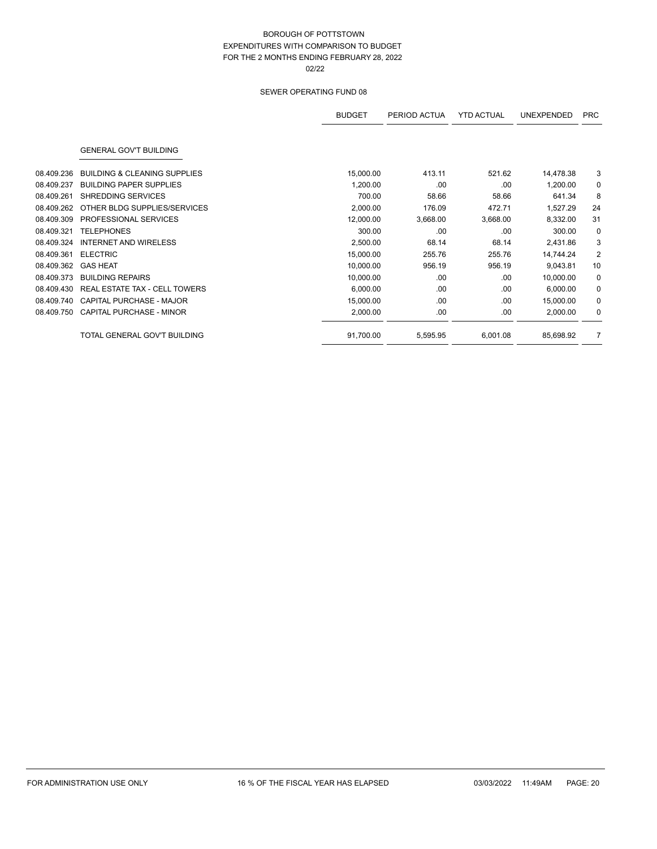|            |                                         | <b>BUDGET</b> | PERIOD ACTUA | <b>YTD ACTUAL</b> | <b>UNEXPENDED</b> | <b>PRC</b>  |
|------------|-----------------------------------------|---------------|--------------|-------------------|-------------------|-------------|
|            | <b>GENERAL GOV'T BUILDING</b>           |               |              |                   |                   |             |
| 08.409.236 | <b>BUILDING &amp; CLEANING SUPPLIES</b> | 15,000.00     | 413.11       | 521.62            | 14,478.38         | 3           |
| 08.409.237 | <b>BUILDING PAPER SUPPLIES</b>          | 1,200.00      | .00          | .00               | 1,200.00          | $\mathbf 0$ |
| 08.409.261 | <b>SHREDDING SERVICES</b>               | 700.00        | 58.66        | 58.66             | 641.34            | 8           |
| 08.409.262 | OTHER BLDG SUPPLIES/SERVICES            | 2,000.00      | 176.09       | 472.71            | 1,527.29          | 24          |
| 08.409.309 | PROFESSIONAL SERVICES                   | 12,000.00     | 3,668.00     | 3,668.00          | 8,332.00          | 31          |
| 08.409.321 | <b>TELEPHONES</b>                       | 300.00        | .00.         | .00               | 300.00            | $\mathbf 0$ |
| 08.409.324 | <b>INTERNET AND WIRELESS</b>            | 2,500.00      | 68.14        | 68.14             | 2,431.86          | 3           |
| 08.409.361 | <b>ELECTRIC</b>                         | 15,000.00     | 255.76       | 255.76            | 14,744.24         | 2           |
| 08.409.362 | <b>GAS HEAT</b>                         | 10,000.00     | 956.19       | 956.19            | 9,043.81          | 10          |
| 08.409.373 | <b>BUILDING REPAIRS</b>                 | 10,000.00     | .00.         | .00               | 10,000.00         | 0           |
| 08.409.430 | <b>REAL ESTATE TAX - CELL TOWERS</b>    | 6,000.00      | .00.         | .00               | 6,000.00          | 0           |
| 08.409.740 | CAPITAL PURCHASE - MAJOR                | 15,000.00     | .00.         | .00               | 15,000.00         | 0           |
| 08.409.750 | CAPITAL PURCHASE - MINOR                | 2,000.00      | .00          | .00               | 2,000.00          | 0           |
|            | TOTAL GENERAL GOV'T BUILDING            | 91,700.00     | 5,595.95     | 6,001.08          | 85,698.92         | 7           |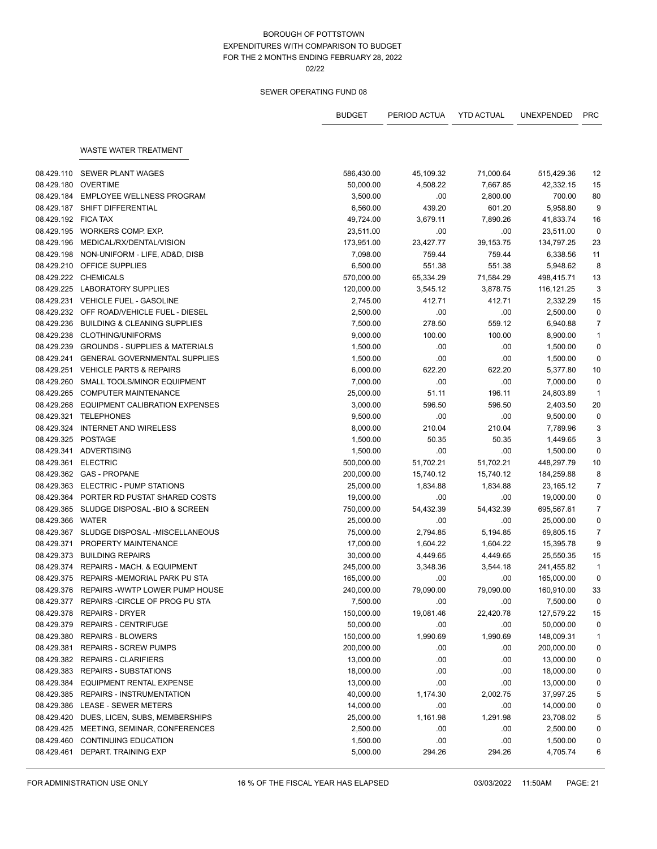# SEWER OPERATING FUND 08

|                          |                                            | <b>BUDGET</b> | PERIOD ACTUA    | <b>YTD ACTUAL</b> | <b>UNEXPENDED</b>      | <b>PRC</b>     |
|--------------------------|--------------------------------------------|---------------|-----------------|-------------------|------------------------|----------------|
|                          | WASTE WATER TREATMENT                      |               |                 |                   |                        |                |
|                          |                                            |               |                 |                   |                        |                |
| 08.429.110               | SEWER PLANT WAGES                          | 586,430.00    | 45,109.32       | 71,000.64         | 515,429.36             | 12             |
| 08.429.180               | OVERTIME                                   | 50,000.00     | 4,508.22        | 7,667.85          | 42,332.15              | 15             |
|                          | 08.429.184 EMPLOYEE WELLNESS PROGRAM       | 3,500.00      | .00             | 2,800.00          | 700.00                 | 80             |
|                          | 08.429.187 SHIFT DIFFERENTIAL              | 6,560.00      | 439.20          | 601.20            | 5,958.80               | 9              |
| 08.429.192 FICA TAX      |                                            | 49,724.00     | 3,679.11        | 7,890.26          | 41,833.74              | 16             |
|                          | 08.429.195 WORKERS COMP. EXP.              | 23,511.00     | .00             | .00               | 23,511.00              | $\mathbf 0$    |
| 08.429.196               | MEDICAL/RX/DENTAL/VISION                   | 173,951.00    | 23,427.77       | 39,153.75         | 134,797.25             | 23             |
| 08.429.198               | NON-UNIFORM - LIFE, AD&D, DISB             | 7,098.00      | 759.44          | 759.44            | 6,338.56               | 11             |
|                          | 08.429.210 OFFICE SUPPLIES                 | 6,500.00      | 551.38          | 551.38            | 5,948.62               | 8              |
|                          | 08.429.222 CHEMICALS                       | 570,000.00    | 65,334.29       | 71,584.29         | 498,415.71             | 13             |
|                          | 08.429.225 LABORATORY SUPPLIES             | 120,000.00    | 3,545.12        | 3,878.75          | 116, 121. 25           | 3              |
|                          | 08.429.231 VEHICLE FUEL - GASOLINE         | 2,745.00      | 412.71          | 412.71            | 2,332.29               | 15             |
|                          | 08.429.232 OFF ROAD/VEHICLE FUEL - DIESEL  | 2,500.00      | .00             | .00               | 2,500.00               | $\mathbf 0$    |
|                          | 08.429.236 BUILDING & CLEANING SUPPLIES    | 7,500.00      | 278.50          | 559.12            | 6,940.88               | $\overline{7}$ |
|                          | 08.429.238 CLOTHING/UNIFORMS               | 9,000.00      | 100.00          | 100.00            | 8,900.00               | $\mathbf{1}$   |
|                          | 08.429.239 GROUNDS - SUPPLIES & MATERIALS  | 1,500.00      | .00             | .00               | 1,500.00               | $\pmb{0}$      |
|                          | 08.429.241 GENERAL GOVERNMENTAL SUPPLIES   | 1,500.00      | .00             | .00               | 1,500.00               | $\mathbf 0$    |
|                          | 08.429.251 VEHICLE PARTS & REPAIRS         | 6,000.00      | 622.20          | 622.20            | 5,377.80               | 10             |
|                          | 08.429.260 SMALL TOOLS/MINOR EQUIPMENT     | 7,000.00      | .00             | .00               | 7,000.00               | $\mathbf 0$    |
|                          | 08.429.265 COMPUTER MAINTENANCE            | 25,000.00     | 51.11           | 196.11            | 24,803.89              | $\mathbf{1}$   |
|                          | 08.429.268 EQUIPMENT CALIBRATION EXPENSES  | 3,000.00      | 596.50          | 596.50            | 2,403.50               | 20             |
| 08.429.321               | TELEPHONES                                 | 9,500.00      | .00             | .00               | 9,500.00               | $\mathbf 0$    |
|                          | 08.429.324 INTERNET AND WIRELESS           | 8,000.00      | 210.04          | 210.04            | 7,789.96               | 3              |
| 08.429.325 POSTAGE       |                                            | 1,500.00      | 50.35           | 50.35             | 1,449.65               | 3              |
|                          | 08.429.341 ADVERTISING                     | 1,500.00      | .00             | .00               | 1,500.00               | $\pmb{0}$      |
|                          | 08.429.361 ELECTRIC                        | 500,000.00    | 51,702.21       | 51,702.21         | 448,297.79             | 10             |
|                          | 08.429.362 GAS - PROPANE                   | 200,000.00    | 15,740.12       | 15,740.12         | 184,259.88             | 8              |
|                          | 08.429.363 ELECTRIC - PUMP STATIONS        | 25,000.00     | 1,834.88        | 1,834.88          | 23,165.12              | $\overline{7}$ |
|                          | 08.429.364 PORTER RD PUSTAT SHARED COSTS   | 19,000.00     | .00             | .00               | 19,000.00              | $\mathbf 0$    |
|                          | 08.429.365 SLUDGE DISPOSAL -BIO & SCREEN   | 750,000.00    | 54,432.39       | 54,432.39         | 695,567.61             | $\overline{7}$ |
| 08.429.366 WATER         |                                            | 25,000.00     | .00             | .00               | 25,000.00              | $\pmb{0}$      |
|                          | 08.429.367 SLUDGE DISPOSAL -MISCELLANEOUS  | 75,000.00     | 2,794.85        | 5,194.85          | 69,805.15              | $\overline{7}$ |
| 08.429.371               | PROPERTY MAINTENANCE                       | 17,000.00     | 1,604.22        | 1,604.22          | 15,395.78              | 9              |
|                          | 08.429.373 BUILDING REPAIRS                | 30,000.00     | 4,449.65        | 4,449.65          | 25,550.35              | 15             |
|                          | 08.429.374 REPAIRS - MACH. & EQUIPMENT     | 245,000.00    | 3,348.36        | 3,544.18          | 241,455.82             | $\mathbf{1}$   |
|                          | 08.429.375 REPAIRS-MEMORIAL PARK PU STA    | 165,000.00    | .00.            | .00               | 165,000.00             | $\pmb{0}$      |
|                          | 08.429.376 REPAIRS - WWTP LOWER PUMP HOUSE | 240.000.00    | 79,090.00       | 79,090.00         | 160,910.00             | 33             |
|                          | 08.429.377 REPAIRS - CIRCLE OF PROG PU STA | 7,500.00      | .00             | .00               | 7,500.00               | 0              |
|                          | 08.429.378 REPAIRS - DRYER                 | 150,000.00    | 19,081.46       | 22,420.78         | 127,579.22             | 15             |
|                          | 08.429.379 REPAIRS - CENTRIFUGE            | 50,000.00     | .00             | .00               | 50,000.00              | 0              |
| 08.429.380               | <b>REPAIRS - BLOWERS</b>                   | 150,000.00    | 1,990.69        | 1,990.69          | 148,009.31             | $\mathbf{1}$   |
| 08.429.381               | <b>REPAIRS - SCREW PUMPS</b>               | 200,000.00    | .00             | .00               | 200,000.00             | 0              |
|                          | 08.429.382 REPAIRS - CLARIFIERS            | 13,000.00     | .00             | .00               | 13,000.00              | 0              |
| 08.429.383               | <b>REPAIRS - SUBSTATIONS</b>               | 18,000.00     | .00             | .00               | 18,000.00              | 0              |
| 08.429.384               | <b>EQUIPMENT RENTAL EXPENSE</b>            | 13,000.00     | .00             | .00               | 13,000.00              | $\pmb{0}$      |
| 08.429.385               | <b>REPAIRS - INSTRUMENTATION</b>           |               |                 | 2,002.75          |                        |                |
|                          | <b>LEASE - SEWER METERS</b>                | 40,000.00     | 1,174.30<br>.00 | .00               | 37,997.25              | 5<br>0         |
| 08.429.386<br>08.429.420 | DUES, LICEN, SUBS, MEMBERSHIPS             | 14,000.00     |                 |                   | 14,000.00<br>23,708.02 |                |
|                          |                                            | 25,000.00     | 1,161.98        | 1,291.98          |                        | 5              |
| 08.429.425               | MEETING, SEMINAR, CONFERENCES              | 2,500.00      | .00             | .00               | 2,500.00               | 0              |
| 08.429.460               | CONTINUING EDUCATION                       | 1,500.00      | .00             | .00               | 1,500.00               | 0              |
| 08.429.461               | DEPART. TRAINING EXP                       | 5,000.00      | 294.26          | 294.26            | 4,705.74               | 6              |

FOR ADMINISTRATION USE ONLY **16 % OF THE FISCAL YEAR HAS ELAPSED** 03/03/2022 11:50AM PAGE: 21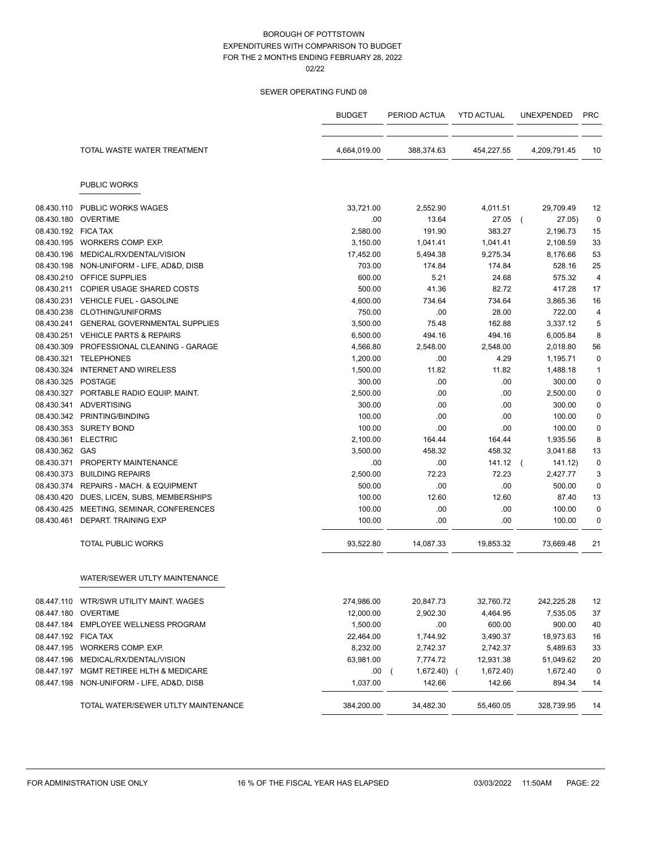|                     |                                         | <b>BUDGET</b> | PERIOD ACTUA | <b>YTD ACTUAL</b> | <b>UNEXPENDED</b> | <b>PRC</b>     |
|---------------------|-----------------------------------------|---------------|--------------|-------------------|-------------------|----------------|
|                     | TOTAL WASTE WATER TREATMENT             | 4,664,019.00  | 388,374.63   | 454,227.55        | 4,209,791.45      | 10             |
|                     | <b>PUBLIC WORKS</b>                     |               |              |                   |                   |                |
| 08.430.110          | <b>PUBLIC WORKS WAGES</b>               | 33,721.00     | 2,552.90     | 4,011.51          | 29,709.49         | 12             |
| 08.430.180          | OVERTIME                                | .00           | 13.64        | 27.05             | 27.05)            | 0              |
| 08.430.192 FICA TAX |                                         | 2,580.00      | 191.90       | 383.27            | 2,196.73          | 15             |
|                     | 08.430.195 WORKERS COMP. EXP.           | 3,150.00      | 1,041.41     | 1,041.41          | 2,108.59          | 33             |
| 08.430.196          | MEDICAL/RX/DENTAL/VISION                | 17,452.00     | 5,494.38     | 9,275.34          | 8,176.66          | 53             |
| 08.430.198          | NON-UNIFORM - LIFE, AD&D, DISB          | 703.00        | 174.84       | 174.84            | 528.16            | 25             |
|                     | 08.430.210 OFFICE SUPPLIES              | 600.00        | 5.21         | 24.68             | 575.32            | $\overline{4}$ |
| 08.430.211          | COPIER USAGE SHARED COSTS               | 500.00        | 41.36        | 82.72             | 417.28            | 17             |
|                     | 08.430.231 VEHICLE FUEL - GASOLINE      | 4,600.00      | 734.64       | 734.64            | 3,865.36          | 16             |
| 08.430.238          | <b>CLOTHING/UNIFORMS</b>                | 750.00        | .00          | 28.00             | 722.00            | 4              |
| 08.430.241          | <b>GENERAL GOVERNMENTAL SUPPLIES</b>    | 3,500.00      | 75.48        | 162.88            | 3,337.12          | 5              |
|                     | 08.430.251 VEHICLE PARTS & REPAIRS      | 6,500.00      | 494.16       | 494.16            | 6,005.84          | 8              |
| 08.430.309          | PROFESSIONAL CLEANING - GARAGE          | 4,566.80      | 2,548.00     | 2,548.00          | 2,018.80          | 56             |
| 08.430.321          | <b>TELEPHONES</b>                       | 1,200.00      | .00          | 4.29              | 1,195.71          | 0              |
| 08.430.324          | <b>INTERNET AND WIRELESS</b>            | 1,500.00      | 11.82        | 11.82             | 1,488.18          | 1              |
| 08.430.325 POSTAGE  |                                         | 300.00        | .00.         | .00               | 300.00            | 0              |
|                     | 08.430.327 PORTABLE RADIO EQUIP, MAINT. | 2.500.00      | .00.         | .00               | 2,500.00          | $\mathbf 0$    |
| 08.430.341          | ADVERTISING                             | 300.00        | .00          | .00               | 300.00            | 0              |
|                     | 08.430.342 PRINTING/BINDING             | 100.00        | .00          | .00               | 100.00            | 0              |
| 08.430.353          | <b>SURETY BOND</b>                      | 100.00        | .00          | .00               | 100.00            | 0              |
| 08.430.361          | <b>ELECTRIC</b>                         | 2,100.00      | 164.44       | 164.44            | 1,935.56          | 8              |
| 08.430.362 GAS      |                                         | 3,500.00      | 458.32       | 458.32            | 3,041.68          | 13             |
| 08.430.371          | PROPERTY MAINTENANCE                    | .00           | .00.         | 141.12            | 141.12)           | $\pmb{0}$      |
| 08.430.373          | <b>BUILDING REPAIRS</b>                 | 2,500.00      | 72.23        | 72.23             | 2,427.77          | 3              |
| 08.430.374          | REPAIRS - MACH. & EQUIPMENT             | 500.00        | .00          | .00               | 500.00            | $\mathbf 0$    |
| 08.430.420          | DUES, LICEN, SUBS, MEMBERSHIPS          | 100.00        | 12.60        | 12.60             | 87.40             | 13             |
| 08.430.425          | MEETING, SEMINAR, CONFERENCES           | 100.00        | .00          | .00               | 100.00            | $\mathbf 0$    |
| 08.430.461          | DEPART. TRAINING EXP                    | 100.00        | .00          | .00               | 100.00            | 0              |
|                     | <b>TOTAL PUBLIC WORKS</b>               | 93,522.80     | 14,087.33    | 19,853.32         | 73,669.48         | 21             |
|                     | WATER/SEWER UTLTY MAINTENANCE           |               |              |                   |                   |                |
|                     | 08.447.110 WTR/SWR UTILITY MAINT. WAGES | 274,986.00    | 20,847.73    | 32,760.72         | 242,225.28        | 12             |
|                     | 08.447.180 OVERTIME                     | 12,000.00     | 2,902.30     | 4,464.95          | 7,535.05          | 37             |
|                     | 08.447.184 EMPLOYEE WELLNESS PROGRAM    | 1,500.00      | .00.         | 600.00            | 900.00            | 40             |
| 08.447.192 FICA TAX |                                         | 22,464.00     | 1,744.92     | 3,490.37          | 18,973.63         | 16             |
|                     | 08.447.195 WORKERS COMP. EXP.           | 8,232.00      | 2,742.37     | 2,742.37          | 5,489.63          | 33             |
|                     | 08.447.196 MEDICAL/RX/DENTAL/VISION     | 63,981.00     | 7,774.72     | 12,931.38         | 51,049.62         | 20             |
| 08.447.197          | MGMT RETIREE HLTH & MEDICARE            | .00(          | 1,672.40) (  | 1,672.40)         | 1,672.40          | $\pmb{0}$      |
| 08.447.198          | NON-UNIFORM - LIFE, AD&D, DISB          | 1,037.00      | 142.66       | 142.66            | 894.34            | 14             |
|                     | TOTAL WATER/SEWER UTLTY MAINTENANCE     | 384,200.00    | 34,482.30    | 55,460.05         | 328,739.95        | 14             |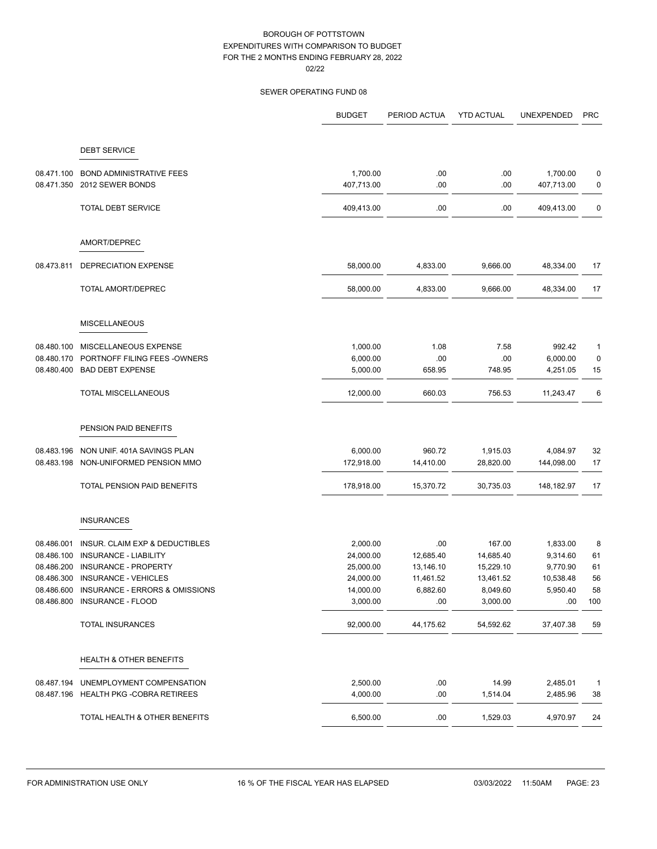|            |                                    | <b>BUDGET</b> | PERIOD ACTUA | <b>YTD ACTUAL</b> | UNEXPENDED | <b>PRC</b>   |
|------------|------------------------------------|---------------|--------------|-------------------|------------|--------------|
|            | <b>DEBT SERVICE</b>                |               |              |                   |            |              |
|            |                                    |               |              |                   |            |              |
| 08.471.100 | <b>BOND ADMINISTRATIVE FEES</b>    | 1,700.00      | .00          | .00               | 1,700.00   | 0            |
| 08.471.350 | 2012 SEWER BONDS                   | 407,713.00    | .00          | .00               | 407,713.00 | 0            |
|            | <b>TOTAL DEBT SERVICE</b>          | 409,413.00    | .00          | .00               | 409,413.00 | 0            |
|            | AMORT/DEPREC                       |               |              |                   |            |              |
| 08.473.811 | DEPRECIATION EXPENSE               | 58,000.00     | 4,833.00     | 9,666.00          | 48,334.00  | 17           |
|            | <b>TOTAL AMORT/DEPREC</b>          | 58,000.00     | 4,833.00     | 9,666.00          | 48,334.00  | 17           |
|            | <b>MISCELLANEOUS</b>               |               |              |                   |            |              |
| 08.480.100 | MISCELLANEOUS EXPENSE              | 1,000.00      | 1.08         | 7.58              | 992.42     | 1            |
| 08.480.170 | PORTNOFF FILING FEES - OWNERS      | 6,000.00      | .00          | .00               | 6,000.00   | 0            |
| 08.480.400 | <b>BAD DEBT EXPENSE</b>            | 5,000.00      | 658.95       | 748.95            | 4,251.05   | 15           |
|            | <b>TOTAL MISCELLANEOUS</b>         | 12,000.00     | 660.03       | 756.53            | 11,243.47  | 6            |
|            | PENSION PAID BENEFITS              |               |              |                   |            |              |
| 08.483.196 | NON UNIF. 401A SAVINGS PLAN        | 6,000.00      | 960.72       | 1,915.03          | 4,084.97   | 32           |
| 08.483.198 | NON-UNIFORMED PENSION MMO          | 172,918.00    | 14,410.00    | 28,820.00         | 144,098.00 | 17           |
|            | TOTAL PENSION PAID BENEFITS        | 178,918.00    | 15,370.72    | 30,735.03         | 148,182.97 | 17           |
|            | <b>INSURANCES</b>                  |               |              |                   |            |              |
| 08.486.001 | INSUR. CLAIM EXP & DEDUCTIBLES     | 2,000.00      | .00          | 167.00            | 1,833.00   | 8            |
| 08.486.100 | INSURANCE - LIABILITY              | 24,000.00     | 12,685.40    | 14,685.40         | 9,314.60   | 61           |
| 08.486.200 | INSURANCE - PROPERTY               | 25,000.00     | 13,146.10    | 15,229.10         | 9,770.90   | 61           |
| 08.486.300 | INSURANCE - VEHICLES               | 24,000.00     | 11,461.52    | 13,461.52         | 10,538.48  | 56           |
| 08.486.600 | INSURANCE - ERRORS & OMISSIONS     | 14,000.00     | 6,882.60     | 8,049.60          | 5,950.40   | 58           |
| 08.486.800 | INSURANCE - FLOOD                  | 3,000.00      | .00          | 3,000.00          | .00        | 100          |
|            | <b>TOTAL INSURANCES</b>            | 92,000.00     | 44,175.62    | 54,592.62         | 37,407.38  | 59           |
|            | <b>HEALTH &amp; OTHER BENEFITS</b> |               |              |                   |            |              |
| 08.487.194 | UNEMPLOYMENT COMPENSATION          | 2,500.00      | .00          | 14.99             | 2,485.01   | $\mathbf{1}$ |
| 08.487.196 | <b>HEALTH PKG -COBRA RETIREES</b>  | 4,000.00      | .00          | 1,514.04          | 2,485.96   | 38           |
|            | TOTAL HEALTH & OTHER BENEFITS      | 6,500.00      | .00          | 1,529.03          | 4,970.97   | 24           |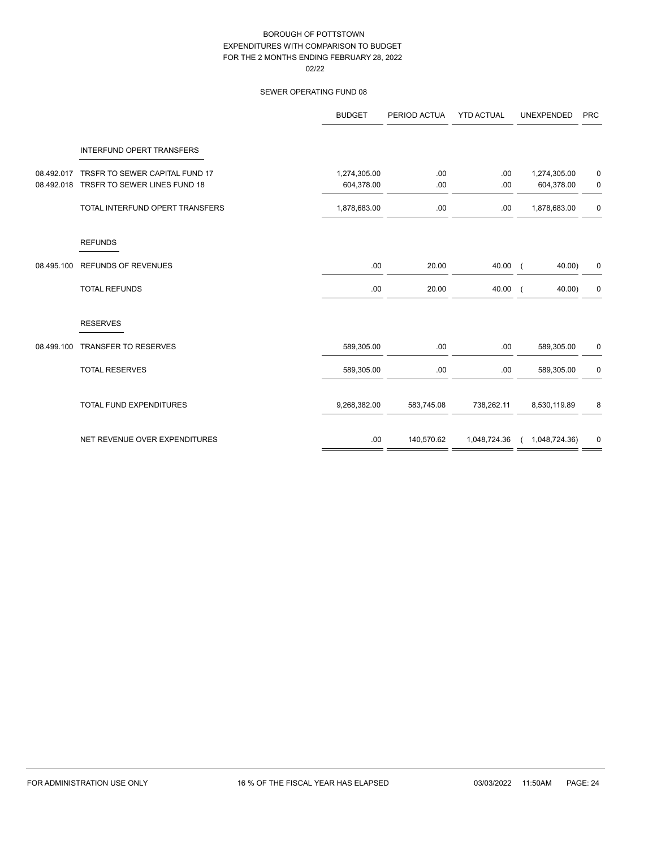|            |                                  | <b>BUDGET</b> | PERIOD ACTUA | <b>YTD ACTUAL</b> | <b>UNEXPENDED</b> | <b>PRC</b>  |
|------------|----------------------------------|---------------|--------------|-------------------|-------------------|-------------|
|            | <b>INTERFUND OPERT TRANSFERS</b> |               |              |                   |                   |             |
| 08.492.017 | TRSFR TO SEWER CAPITAL FUND 17   | 1,274,305.00  | .00          | .00               | 1,274,305.00      | 0           |
| 08.492.018 | TRSFR TO SEWER LINES FUND 18     | 604,378.00    | .00          | .00               | 604,378.00        | 0           |
|            | TOTAL INTERFUND OPERT TRANSFERS  | 1,878,683.00  | .00          | .00               | 1,878,683.00      | $\pmb{0}$   |
|            | <b>REFUNDS</b>                   |               |              |                   |                   |             |
| 08.495.100 | <b>REFUNDS OF REVENUES</b>       | .00           | 20.00        | 40.00             | $40.00$ )         | 0           |
|            | <b>TOTAL REFUNDS</b>             | .00           | 20.00        | 40.00             | 40.00)            | 0           |
|            | <b>RESERVES</b>                  |               |              |                   |                   |             |
| 08.499.100 | <b>TRANSFER TO RESERVES</b>      | 589,305.00    | .00          | .00               | 589,305.00        | 0           |
|            | <b>TOTAL RESERVES</b>            | 589,305.00    | .00          | .00               | 589,305.00        | $\mathbf 0$ |
|            | <b>TOTAL FUND EXPENDITURES</b>   | 9,268,382.00  | 583,745.08   | 738,262.11        | 8,530,119.89      | 8           |
|            | NET REVENUE OVER EXPENDITURES    | .00           | 140,570.62   | 1,048,724.36      | (1,048,724.36)    | 0           |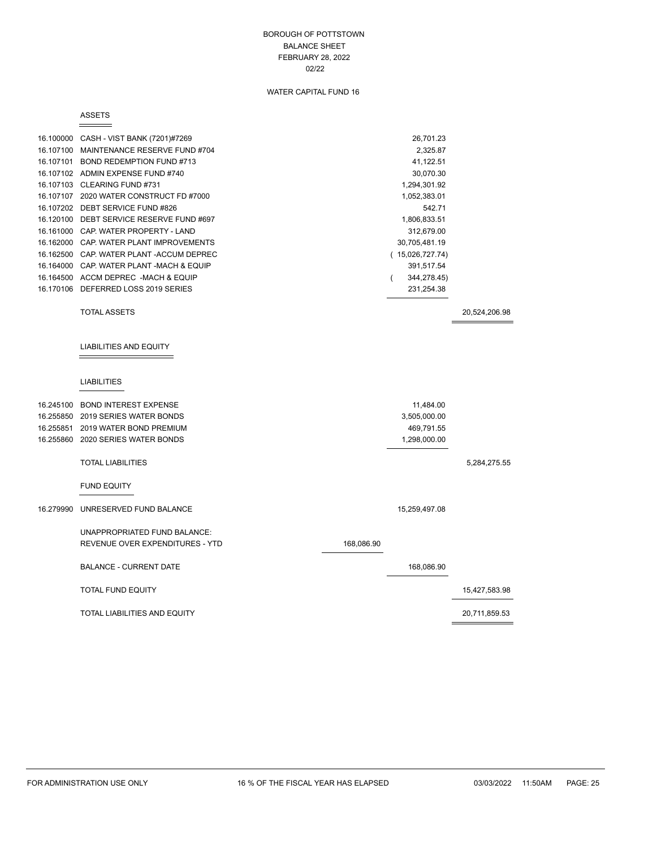### BOROUGH OF POTTSTOWN BALANCE SHEET FEBRUARY 28, 2022 02/22

# WATER CAPITAL FUND 16

#### ASSETS

 $\equiv$ 

| 16.100000 | CASH - VIST BANK (7201)#7269    | 26,701.23       |               |
|-----------|---------------------------------|-----------------|---------------|
| 16.107100 | MAINTENANCE RESERVE FUND #704   | 2,325.87        |               |
| 16.107101 | BOND REDEMPTION FUND #713       | 41,122.51       |               |
| 16.107102 | ADMIN EXPENSE FUND #740         | 30,070.30       |               |
| 16.107103 | CLEARING FUND #731              | 1,294,301.92    |               |
| 16.107107 | 2020 WATER CONSTRUCT FD #7000   | 1,052,383.01    |               |
| 16.107202 | DEBT SERVICE FUND #826          | 542.71          |               |
| 16.120100 | DEBT SERVICE RESERVE FUND #697  | 1,806,833.51    |               |
| 16.161000 | CAP. WATER PROPERTY - LAND      | 312,679.00      |               |
| 16.162000 | CAP. WATER PLANT IMPROVEMENTS   | 30,705,481.19   |               |
| 16.162500 | CAP. WATER PLANT - ACCUM DEPREC | (15,026,727.74) |               |
| 16.164000 | CAP. WATER PLANT -MACH & EQUIP  | 391,517.54      |               |
| 16.164500 | ACCM DEPREC -MACH & EQUIP       | 344,278.45)     |               |
| 16.170106 | DEFERRED LOSS 2019 SERIES       | 231,254.38      |               |
|           | <b>TOTAL ASSETS</b>             |                 | 20,524,206.98 |
|           |                                 |                 |               |
|           | <b>LIABILITIES AND EQUITY</b>   |                 |               |
|           |                                 |                 |               |
|           |                                 |                 |               |

## LIABILITIES

| 16.245100 | <b>BOND INTEREST EXPENSE</b>        |            | 11,484.00     |               |
|-----------|-------------------------------------|------------|---------------|---------------|
| 16.255850 | 2019 SERIES WATER BONDS             |            | 3,505,000.00  |               |
| 16.255851 | 2019 WATER BOND PREMIUM             |            | 469,791.55    |               |
|           | 16.255860 2020 SERIES WATER BONDS   |            | 1,298,000.00  |               |
|           | <b>TOTAL LIABILITIES</b>            |            |               | 5,284,275.55  |
|           | <b>FUND EQUITY</b>                  |            |               |               |
| 16.279990 | UNRESERVED FUND BALANCE             |            | 15,259,497.08 |               |
|           | UNAPPROPRIATED FUND BALANCE:        |            |               |               |
|           | REVENUE OVER EXPENDITURES - YTD     | 168,086.90 |               |               |
|           | <b>BALANCE - CURRENT DATE</b>       |            | 168,086.90    |               |
|           | <b>TOTAL FUND EQUITY</b>            |            |               | 15,427,583.98 |
|           | <b>TOTAL LIABILITIES AND EQUITY</b> |            |               | 20,711,859.53 |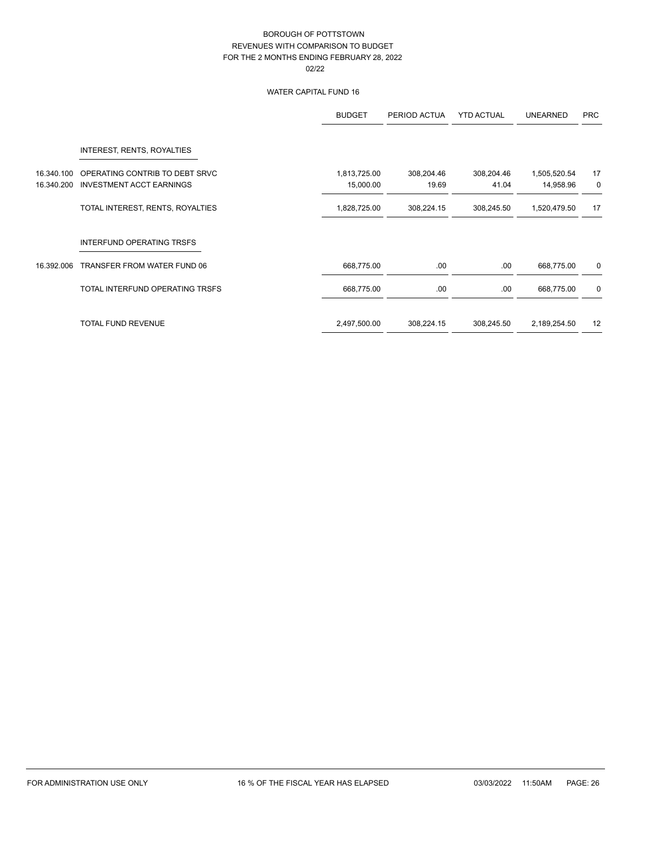# WATER CAPITAL FUND 16

|            |                                  | <b>BUDGET</b> | PERIOD ACTUA | <b>YTD ACTUAL</b> | <b>UNEARNED</b> | <b>PRC</b>  |
|------------|----------------------------------|---------------|--------------|-------------------|-----------------|-------------|
|            | INTEREST, RENTS, ROYALTIES       |               |              |                   |                 |             |
| 16.340.100 | OPERATING CONTRIB TO DEBT SRVC   | 1,813,725.00  | 308,204.46   | 308,204.46        | 1,505,520.54    | 17          |
| 16.340.200 | <b>INVESTMENT ACCT EARNINGS</b>  | 15,000.00     | 19.69        | 41.04             | 14,958.96       | $\mathbf 0$ |
|            | TOTAL INTEREST, RENTS, ROYALTIES | 1,828,725.00  | 308,224.15   | 308,245.50        | 1,520,479.50    | 17          |
|            | INTERFUND OPERATING TRSFS        |               |              |                   |                 |             |
| 16.392.006 | TRANSFER FROM WATER FUND 06      | 668,775.00    | .00          | .00.              | 668,775.00      | 0           |
|            | TOTAL INTERFUND OPERATING TRSFS  | 668,775.00    | .00          | .00               | 668,775.00      | $\mathbf 0$ |
|            | <b>TOTAL FUND REVENUE</b>        | 2,497,500.00  | 308,224.15   | 308,245.50        | 2,189,254.50    | 12          |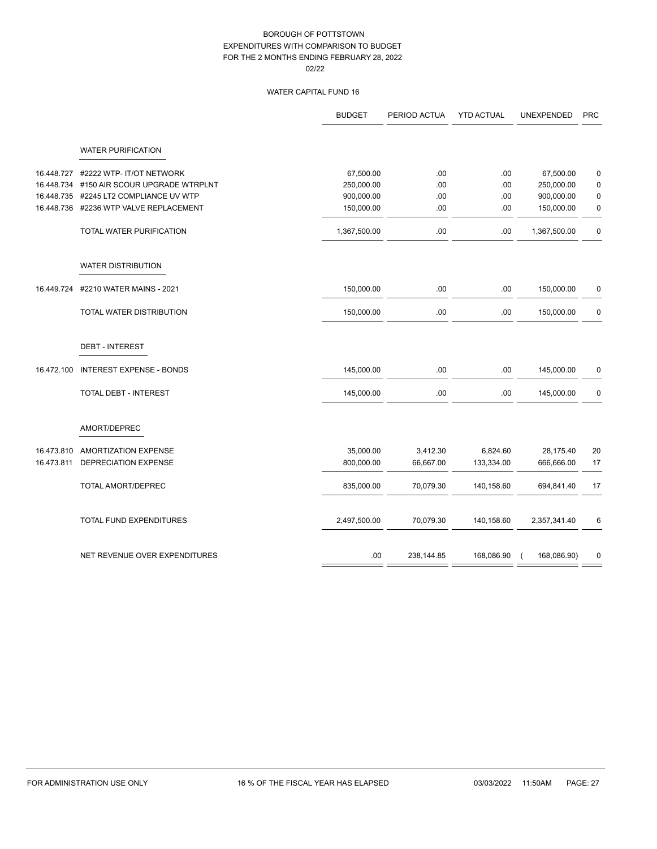# WATER CAPITAL FUND 16

|            |                                 | <b>BUDGET</b> | PERIOD ACTUA | <b>YTD ACTUAL</b> | <b>UNEXPENDED</b> | <b>PRC</b>  |
|------------|---------------------------------|---------------|--------------|-------------------|-------------------|-------------|
|            | <b>WATER PURIFICATION</b>       |               |              |                   |                   |             |
| 16.448.727 | #2222 WTP- IT/OT NETWORK        | 67,500.00     | .00          | .00.              | 67,500.00         | $\pmb{0}$   |
| 16.448.734 | #150 AIR SCOUR UPGRADE WTRPLNT  | 250,000.00    | .00          | .00               | 250,000.00        | $\pmb{0}$   |
| 16.448.735 | #2245 LT2 COMPLIANCE UV WTP     | 900,000.00    | .00          | .00               | 900,000.00        | $\pmb{0}$   |
| 16.448.736 | #2236 WTP VALVE REPLACEMENT     | 150,000.00    | .00          | .00               | 150,000.00        | $\pmb{0}$   |
|            | TOTAL WATER PURIFICATION        | 1,367,500.00  | .00          | .00               | 1,367,500.00      | $\pmb{0}$   |
|            | <b>WATER DISTRIBUTION</b>       |               |              |                   |                   |             |
| 16.449.724 | #2210 WATER MAINS - 2021        | 150,000.00    | .00          | .00.              | 150,000.00        | $\pmb{0}$   |
|            | TOTAL WATER DISTRIBUTION        | 150,000.00    | .00          | .00.              | 150,000.00        | $\mathbf 0$ |
|            | <b>DEBT - INTEREST</b>          |               |              |                   |                   |             |
| 16.472.100 | <b>INTEREST EXPENSE - BONDS</b> | 145,000.00    | .00          | .00.              | 145,000.00        | 0           |
|            | <b>TOTAL DEBT - INTEREST</b>    | 145,000.00    | .00          | .00.              | 145,000.00        | $\pmb{0}$   |
|            | AMORT/DEPREC                    |               |              |                   |                   |             |
| 16.473.810 | AMORTIZATION EXPENSE            | 35,000.00     | 3,412.30     | 6,824.60          | 28,175.40         | 20          |
| 16.473.811 | <b>DEPRECIATION EXPENSE</b>     | 800,000.00    | 66,667.00    | 133,334.00        | 666,666.00        | 17          |
|            | TOTAL AMORT/DEPREC              | 835,000.00    | 70,079.30    | 140,158.60        | 694,841.40        | 17          |
|            | TOTAL FUND EXPENDITURES         | 2,497,500.00  | 70,079.30    | 140,158.60        | 2,357,341.40      | 6           |
|            | NET REVENUE OVER EXPENDITURES   | .00           | 238,144.85   | 168,086.90        | 168,086.90)       | $\mathbf 0$ |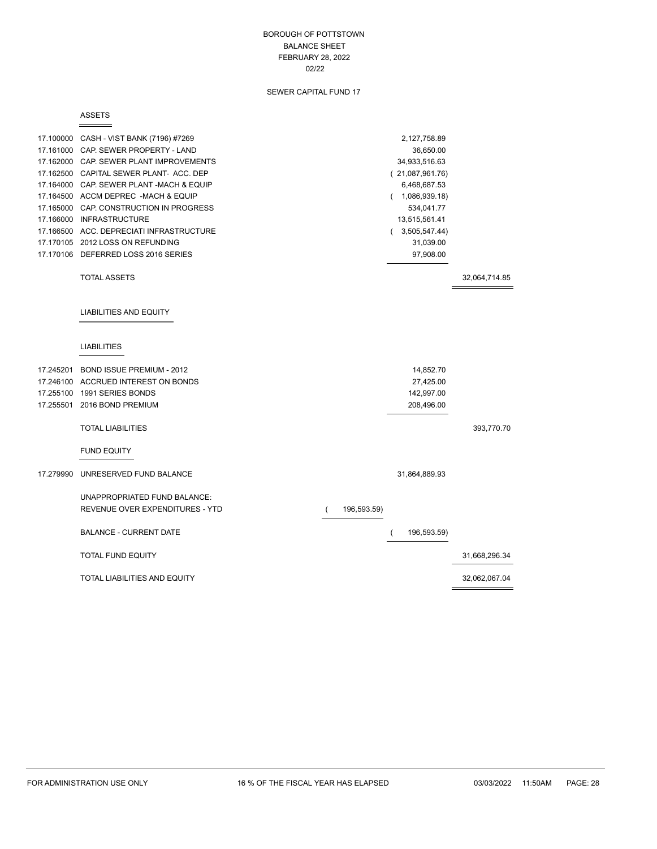### BOROUGH OF POTTSTOWN BALANCE SHEET FEBRUARY 28, 2022 02/22

# SEWER CAPITAL FUND 17

#### ASSETS

 $\equiv$ 

|           | 17.100000 CASH - VIST BANK (7196) #7269  |                         | 2,127,758.89    |               |
|-----------|------------------------------------------|-------------------------|-----------------|---------------|
|           | 17.161000 CAP. SEWER PROPERTY - LAND     |                         | 36,650.00       |               |
|           | 17.162000 CAP. SEWER PLANT IMPROVEMENTS  |                         | 34,933,516.63   |               |
|           | 17.162500 CAPITAL SEWER PLANT- ACC. DEP  |                         | (21,087,961.76) |               |
|           | 17.164000 CAP, SEWER PLANT-MACH & EQUIP  |                         | 6,468,687.53    |               |
|           | 17.164500 ACCM DEPREC -MACH & EQUIP      |                         | (1,086,939.18)  |               |
|           | 17.165000 CAP. CONSTRUCTION IN PROGRESS  |                         | 534,041.77      |               |
|           | 17.166000 INFRASTRUCTURE                 |                         | 13,515,561.41   |               |
|           | 17.166500 ACC. DEPRECIATI INFRASTRUCTURE |                         | (3,505,547.44)  |               |
|           | 17.170105 2012 LOSS ON REFUNDING         |                         | 31,039.00       |               |
|           | 17.170106 DEFERRED LOSS 2016 SERIES      |                         | 97,908.00       |               |
|           | <b>TOTAL ASSETS</b>                      |                         |                 | 32,064,714.85 |
|           | <b>LIABILITIES AND EQUITY</b>            |                         |                 |               |
|           | <b>LIABILITIES</b>                       |                         |                 |               |
|           | 17.245201 BOND ISSUE PREMIUM - 2012      |                         | 14,852.70       |               |
|           | 17.246100 ACCRUED INTEREST ON BONDS      |                         | 27,425.00       |               |
|           | 17.255100 1991 SERIES BONDS              |                         | 142,997.00      |               |
|           | 17.255501 2016 BOND PREMIUM              |                         | 208,496.00      |               |
|           | <b>TOTAL LIABILITIES</b>                 |                         |                 | 393,770.70    |
|           | <b>FUND EQUITY</b>                       |                         |                 |               |
| 17.279990 | UNRESERVED FUND BALANCE                  |                         | 31,864,889.93   |               |
|           | UNAPPROPRIATED FUND BALANCE:             |                         |                 |               |
|           | REVENUE OVER EXPENDITURES - YTD          | 196,593.59)<br>$\left($ |                 |               |
|           | <b>BALANCE - CURRENT DATE</b>            |                         | 196,593.59)     |               |
|           | <b>TOTAL FUND EQUITY</b>                 |                         |                 | 31,668,296.34 |
|           | TOTAL LIABILITIES AND EQUITY             |                         |                 | 32,062,067.04 |

 $\equiv$ 

 $\overline{\phantom{0}}$ 

and the control of the control of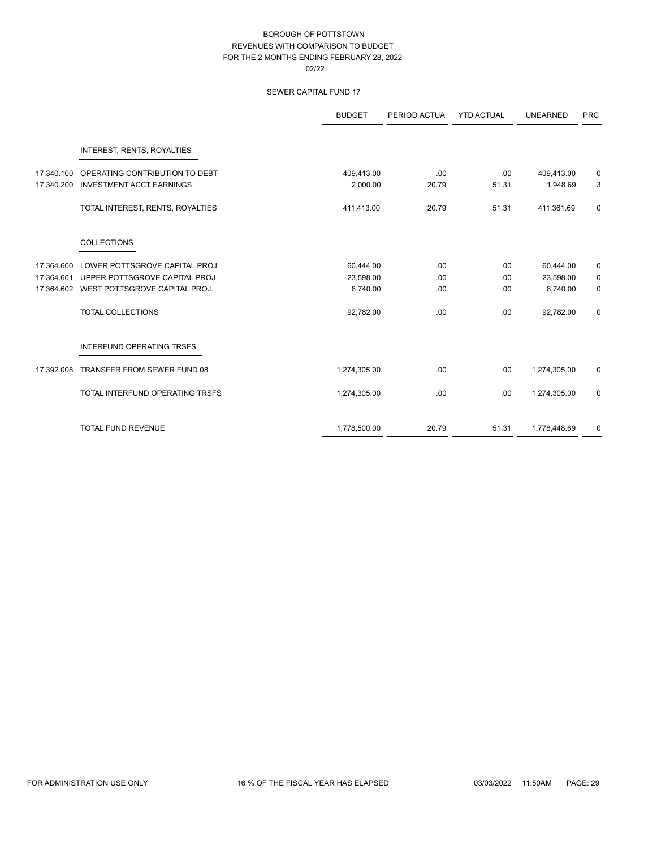# SEWER CAPITAL FUND 17

|            |                                   | <b>BUDGET</b> | PERIOD ACTUA | <b>YTD ACTUAL</b> | <b>UNEARNED</b> | <b>PRC</b> |
|------------|-----------------------------------|---------------|--------------|-------------------|-----------------|------------|
|            | <b>INTEREST, RENTS, ROYALTIES</b> |               |              |                   |                 |            |
| 17.340.100 | OPERATING CONTRIBUTION TO DEBT    | 409,413.00    | .00          | .00               | 409,413.00      | 0          |
| 17.340.200 | <b>INVESTMENT ACCT EARNINGS</b>   | 2,000.00      | 20.79        | 51.31             | 1,948.69        | 3          |
|            | TOTAL INTEREST, RENTS, ROYALTIES  | 411,413.00    | 20.79        | 51.31             | 411,361.69      | 0          |
|            | <b>COLLECTIONS</b>                |               |              |                   |                 |            |
| 17.364.600 | LOWER POTTSGROVE CAPITAL PROJ     | 60,444.00     | .00          | .00               | 60,444.00       | 0          |
| 17.364.601 | UPPER POTTSGROVE CAPITAL PROJ     | 23,598.00     | .00          | .00               | 23,598.00       | 0          |
| 17.364.602 | WEST POTTSGROVE CAPITAL PROJ.     | 8,740.00      | .00          | .00               | 8,740.00        | 0          |
|            | <b>TOTAL COLLECTIONS</b>          | 92,782.00     | .00          | .00               | 92,782.00       | $\pmb{0}$  |
|            | <b>INTERFUND OPERATING TRSFS</b>  |               |              |                   |                 |            |
| 17.392.008 | TRANSFER FROM SEWER FUND 08       | 1,274,305.00  | .00.         | .00.              | 1,274,305.00    | 0          |
|            | TOTAL INTERFUND OPERATING TRSFS   | 1,274,305.00  | .00          | .00.              | 1,274,305.00    | 0          |
|            | <b>TOTAL FUND REVENUE</b>         | 1,778,500.00  | 20.79        | 51.31             | 1,778,448.69    | 0          |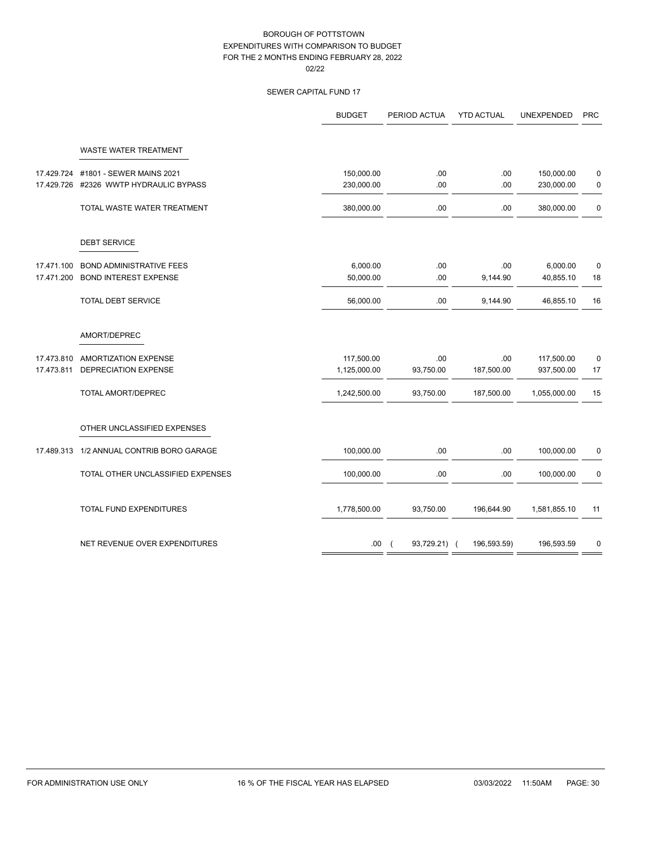# SEWER CAPITAL FUND 17

| WASTE WATER TREATMENT<br>#1801 - SEWER MAINS 2021<br>150,000.00<br>.00<br>17.429.724<br>.00<br>150,000.00<br>#2326 WWTP HYDRAULIC BYPASS<br>230,000.00<br>.00<br>.00<br>17.429.726<br>230,000.00<br>.00<br>TOTAL WASTE WATER TREATMENT<br>380,000.00<br>.00<br>380,000.00<br><b>DEBT SERVICE</b><br>17.471.100<br><b>BOND ADMINISTRATIVE FEES</b><br>6,000.00<br>.00<br>.00<br>6,000.00<br><b>BOND INTEREST EXPENSE</b><br>.00<br>17.471.200<br>50,000.00<br>9,144.90<br>40,855.10<br><b>TOTAL DEBT SERVICE</b><br>56,000.00<br>.00<br>9,144.90<br>46,855.10<br>AMORT/DEPREC<br>117,500.00<br>17.473.810<br><b>AMORTIZATION EXPENSE</b><br>.00<br>.00<br>117,500.00<br><b>DEPRECIATION EXPENSE</b><br>187,500.00<br>17.473.811<br>1,125,000.00<br>93,750.00<br>937,500.00<br><b>TOTAL AMORT/DEPREC</b><br>93,750.00<br>187,500.00<br>1,242,500.00<br>1,055,000.00<br>OTHER UNCLASSIFIED EXPENSES<br>17.489.313 1/2 ANNUAL CONTRIB BORO GARAGE<br>100,000.00<br>.00<br>.00<br>100,000.00<br>.00<br>.00<br>TOTAL OTHER UNCLASSIFIED EXPENSES<br>100,000.00<br>100,000.00<br>TOTAL FUND EXPENDITURES<br>1,778,500.00<br>93,750.00<br>196,644.90<br>1,581,855.10 |                               | <b>BUDGET</b> | PERIOD ACTUA | <b>YTD ACTUAL</b> | <b>UNEXPENDED</b> | <b>PRC</b>  |
|--------------------------------------------------------------------------------------------------------------------------------------------------------------------------------------------------------------------------------------------------------------------------------------------------------------------------------------------------------------------------------------------------------------------------------------------------------------------------------------------------------------------------------------------------------------------------------------------------------------------------------------------------------------------------------------------------------------------------------------------------------------------------------------------------------------------------------------------------------------------------------------------------------------------------------------------------------------------------------------------------------------------------------------------------------------------------------------------------------------------------------------------------------------|-------------------------------|---------------|--------------|-------------------|-------------------|-------------|
|                                                                                                                                                                                                                                                                                                                                                                                                                                                                                                                                                                                                                                                                                                                                                                                                                                                                                                                                                                                                                                                                                                                                                              |                               |               |              |                   |                   |             |
|                                                                                                                                                                                                                                                                                                                                                                                                                                                                                                                                                                                                                                                                                                                                                                                                                                                                                                                                                                                                                                                                                                                                                              |                               |               |              |                   |                   | 0           |
|                                                                                                                                                                                                                                                                                                                                                                                                                                                                                                                                                                                                                                                                                                                                                                                                                                                                                                                                                                                                                                                                                                                                                              |                               |               |              |                   |                   | 0           |
|                                                                                                                                                                                                                                                                                                                                                                                                                                                                                                                                                                                                                                                                                                                                                                                                                                                                                                                                                                                                                                                                                                                                                              |                               |               |              |                   |                   | 0           |
|                                                                                                                                                                                                                                                                                                                                                                                                                                                                                                                                                                                                                                                                                                                                                                                                                                                                                                                                                                                                                                                                                                                                                              |                               |               |              |                   |                   |             |
|                                                                                                                                                                                                                                                                                                                                                                                                                                                                                                                                                                                                                                                                                                                                                                                                                                                                                                                                                                                                                                                                                                                                                              |                               |               |              |                   |                   | $\mathbf 0$ |
|                                                                                                                                                                                                                                                                                                                                                                                                                                                                                                                                                                                                                                                                                                                                                                                                                                                                                                                                                                                                                                                                                                                                                              |                               |               |              |                   |                   | 18          |
|                                                                                                                                                                                                                                                                                                                                                                                                                                                                                                                                                                                                                                                                                                                                                                                                                                                                                                                                                                                                                                                                                                                                                              |                               |               |              |                   |                   | 16          |
|                                                                                                                                                                                                                                                                                                                                                                                                                                                                                                                                                                                                                                                                                                                                                                                                                                                                                                                                                                                                                                                                                                                                                              |                               |               |              |                   |                   |             |
|                                                                                                                                                                                                                                                                                                                                                                                                                                                                                                                                                                                                                                                                                                                                                                                                                                                                                                                                                                                                                                                                                                                                                              |                               |               |              |                   |                   | $\mathbf 0$ |
|                                                                                                                                                                                                                                                                                                                                                                                                                                                                                                                                                                                                                                                                                                                                                                                                                                                                                                                                                                                                                                                                                                                                                              |                               |               |              |                   |                   | 17          |
|                                                                                                                                                                                                                                                                                                                                                                                                                                                                                                                                                                                                                                                                                                                                                                                                                                                                                                                                                                                                                                                                                                                                                              |                               |               |              |                   |                   | 15          |
|                                                                                                                                                                                                                                                                                                                                                                                                                                                                                                                                                                                                                                                                                                                                                                                                                                                                                                                                                                                                                                                                                                                                                              |                               |               |              |                   |                   |             |
|                                                                                                                                                                                                                                                                                                                                                                                                                                                                                                                                                                                                                                                                                                                                                                                                                                                                                                                                                                                                                                                                                                                                                              |                               |               |              |                   |                   | 0           |
|                                                                                                                                                                                                                                                                                                                                                                                                                                                                                                                                                                                                                                                                                                                                                                                                                                                                                                                                                                                                                                                                                                                                                              |                               |               |              |                   |                   | 0           |
|                                                                                                                                                                                                                                                                                                                                                                                                                                                                                                                                                                                                                                                                                                                                                                                                                                                                                                                                                                                                                                                                                                                                                              |                               |               |              |                   |                   | 11          |
|                                                                                                                                                                                                                                                                                                                                                                                                                                                                                                                                                                                                                                                                                                                                                                                                                                                                                                                                                                                                                                                                                                                                                              | NET REVENUE OVER EXPENDITURES | .00.          | 93,729.21) ( | 196,593.59)       | 196,593.59        | 0           |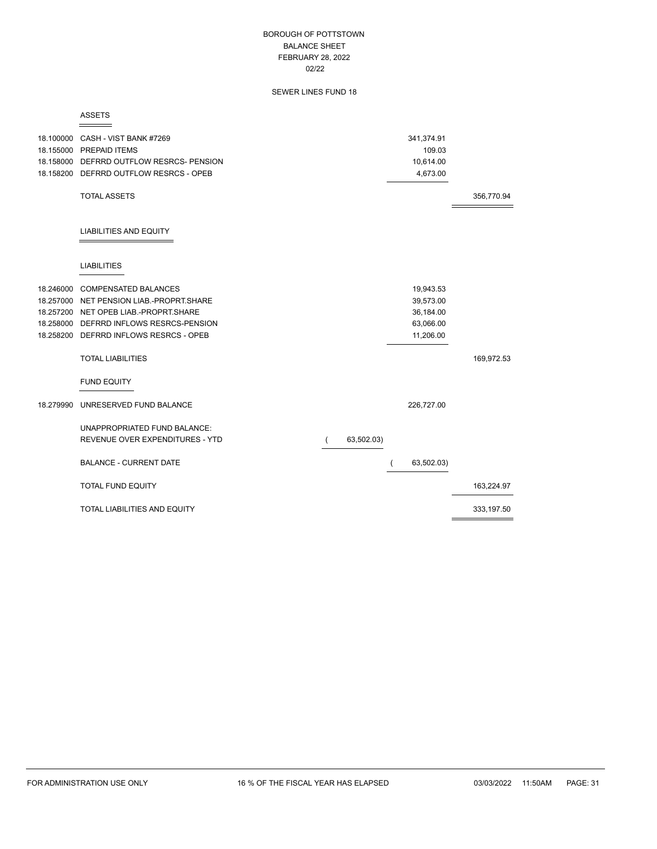### BOROUGH OF POTTSTOWN BALANCE SHEET FEBRUARY 28, 2022 02/22

# SEWER LINES FUND 18

ASSETS

 $\equiv$ 

|           | 18.100000 CASH - VIST BANK #7269<br>18.155000 PREPAID ITEMS |                              | 341,374.91<br>109.03 |             |
|-----------|-------------------------------------------------------------|------------------------------|----------------------|-------------|
|           | 18.158000 DEFRRD OUTFLOW RESRCS- PENSION                    |                              | 10,614.00            |             |
|           | 18.158200 DEFRRD OUTFLOW RESRCS - OPEB                      |                              | 4,673.00             |             |
|           |                                                             |                              |                      |             |
|           | <b>TOTAL ASSETS</b>                                         |                              |                      | 356,770.94  |
|           | <b>LIABILITIES AND EQUITY</b>                               |                              |                      |             |
|           | <b>LIABILITIES</b>                                          |                              |                      |             |
|           | 18.246000 COMPENSATED BALANCES                              |                              | 19,943.53            |             |
|           | 18.257000 NET PENSION LIAB.-PROPRT.SHARE                    |                              | 39,573.00            |             |
|           | 18.257200 NET OPEB LIAB.-PROPRT.SHARE                       |                              | 36,184.00            |             |
|           | 18.258000 DEFRRD INFLOWS RESRCS-PENSION                     |                              | 63,066.00            |             |
|           | 18.258200 DEFRRD INFLOWS RESRCS - OPEB                      |                              | 11,206.00            |             |
|           | <b>TOTAL LIABILITIES</b>                                    |                              |                      | 169,972.53  |
|           | <b>FUND EQUITY</b>                                          |                              |                      |             |
| 18.279990 | UNRESERVED FUND BALANCE                                     |                              | 226,727.00           |             |
|           | <b>UNAPPROPRIATED FUND BALANCE:</b>                         |                              |                      |             |
|           | REVENUE OVER EXPENDITURES - YTD                             | 63,502.03)<br>$\overline{ }$ |                      |             |
|           | <b>BALANCE - CURRENT DATE</b>                               |                              | 63,502.03)           |             |
|           | <b>TOTAL FUND EQUITY</b>                                    |                              |                      | 163,224.97  |
|           | TOTAL LIABILITIES AND EQUITY                                |                              |                      | 333, 197.50 |

 $\equiv$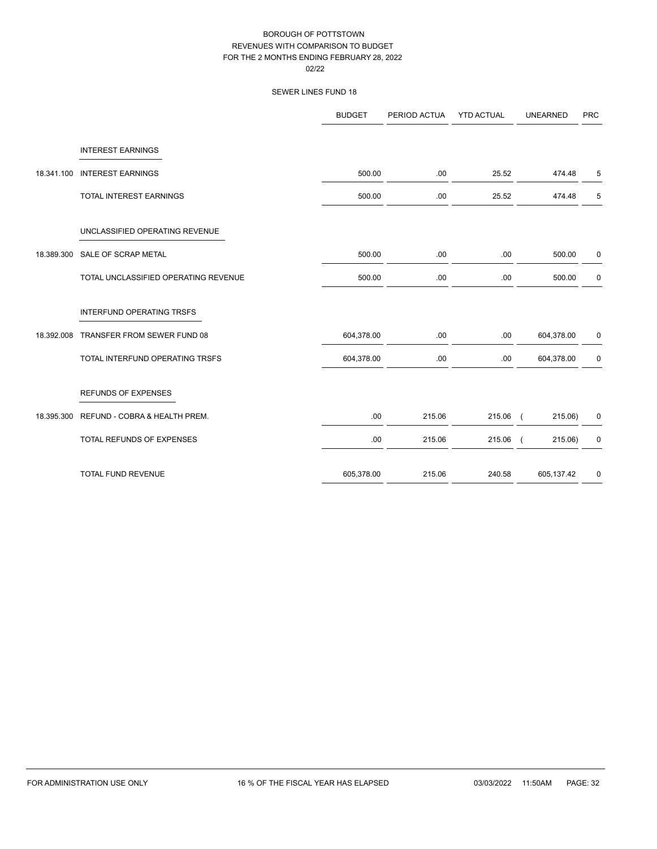|            |                                      | <b>BUDGET</b> | PERIOD ACTUA | <b>YTD ACTUAL</b> | <b>UNEARNED</b> | <b>PRC</b>  |
|------------|--------------------------------------|---------------|--------------|-------------------|-----------------|-------------|
|            | <b>INTEREST EARNINGS</b>             |               |              |                   |                 |             |
| 18.341.100 | <b>INTEREST EARNINGS</b>             | 500.00        | .00          | 25.52             | 474.48          | 5           |
|            | TOTAL INTEREST EARNINGS              | 500.00        | .00          | 25.52             | 474.48          | 5           |
|            | UNCLASSIFIED OPERATING REVENUE       |               |              |                   |                 |             |
|            | 18.389.300 SALE OF SCRAP METAL       | 500.00        | .00          | .00               | 500.00          | 0           |
|            | TOTAL UNCLASSIFIED OPERATING REVENUE | 500.00        | .00          | .00               | 500.00          | 0           |
|            | <b>INTERFUND OPERATING TRSFS</b>     |               |              |                   |                 |             |
| 18.392.008 | TRANSFER FROM SEWER FUND 08          | 604,378.00    | .00          | .00               | 604,378.00      | 0           |
|            | TOTAL INTERFUND OPERATING TRSFS      | 604,378.00    | .00          | .00               | 604,378.00      | $\mathbf 0$ |
|            | <b>REFUNDS OF EXPENSES</b>           |               |              |                   |                 |             |
| 18.395.300 | REFUND - COBRA & HEALTH PREM.        | .00           | 215.06       | 215.06 (          | 215.06)         | 0           |
|            | TOTAL REFUNDS OF EXPENSES            | .00.          | 215.06       | $215.06$ (        | 215.06)         | $\pmb{0}$   |
|            | TOTAL FUND REVENUE                   | 605,378.00    | 215.06       | 240.58            | 605,137.42      | $\pmb{0}$   |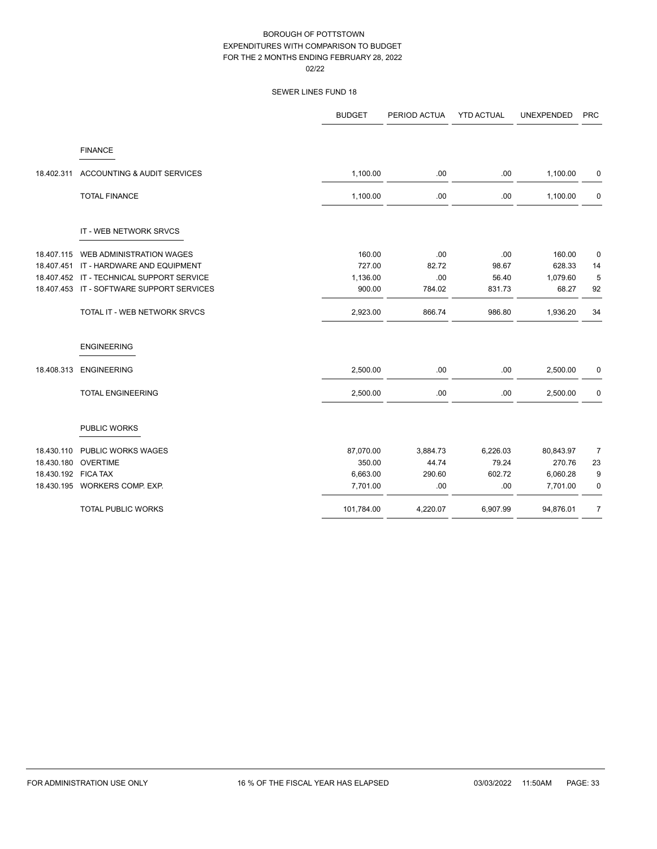|                     |                                           | <b>BUDGET</b> | PERIOD ACTUA | <b>YTD ACTUAL</b> | <b>UNEXPENDED</b> | <b>PRC</b>     |
|---------------------|-------------------------------------------|---------------|--------------|-------------------|-------------------|----------------|
|                     | <b>FINANCE</b>                            |               |              |                   |                   |                |
| 18.402.311          | ACCOUNTING & AUDIT SERVICES               | 1,100.00      | .00          | .00               | 1,100.00          | 0              |
|                     | <b>TOTAL FINANCE</b>                      | 1,100.00      | .00          | .00               | 1,100.00          | 0              |
|                     | IT - WEB NETWORK SRVCS                    |               |              |                   |                   |                |
| 18.407.115          | WEB ADMINISTRATION WAGES                  | 160.00        | .00          | .00               | 160.00            | 0              |
| 18.407.451          | IT - HARDWARE AND EQUIPMENT               | 727.00        | 82.72        | 98.67             | 628.33            | 14             |
|                     | 18.407.452 IT - TECHNICAL SUPPORT SERVICE | 1,136.00      | .00          | 56.40             | 1,079.60          | 5              |
|                     | 18.407.453 IT - SOFTWARE SUPPORT SERVICES | 900.00        | 784.02       | 831.73            | 68.27             | 92             |
|                     | TOTAL IT - WEB NETWORK SRVCS              | 2,923.00      | 866.74       | 986.80            | 1,936.20          | 34             |
|                     | <b>ENGINEERING</b>                        |               |              |                   |                   |                |
| 18.408.313          | <b>ENGINEERING</b>                        | 2,500.00      | .00          | .00               | 2,500.00          | 0              |
|                     | <b>TOTAL ENGINEERING</b>                  | 2,500.00      | .00          | .00               | 2,500.00          | $\mathbf 0$    |
|                     | PUBLIC WORKS                              |               |              |                   |                   |                |
| 18.430.110          | PUBLIC WORKS WAGES                        | 87,070.00     | 3,884.73     | 6,226.03          | 80,843.97         | $\overline{7}$ |
| 18.430.180          | <b>OVERTIME</b>                           | 350.00        | 44.74        | 79.24             | 270.76            | 23             |
| 18.430.192 FICA TAX |                                           | 6,663.00      | 290.60       | 602.72            | 6,060.28          | 9              |
|                     | 18.430.195 WORKERS COMP. EXP.             | 7,701.00      | .00          | .00               | 7,701.00          | 0              |
|                     | <b>TOTAL PUBLIC WORKS</b>                 | 101,784.00    | 4,220.07     | 6,907.99          | 94,876.01         | $\overline{7}$ |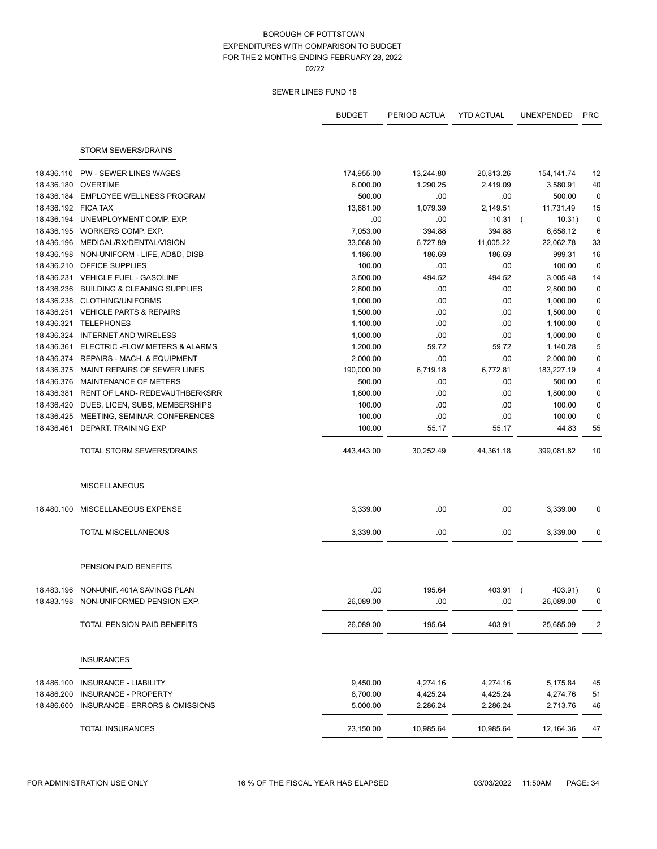|                     |                                         | <b>BUDGET</b> | PERIOD ACTUA | <b>YTD ACTUAL</b> | <b>UNEXPENDED</b>        | <b>PRC</b>  |
|---------------------|-----------------------------------------|---------------|--------------|-------------------|--------------------------|-------------|
|                     |                                         |               |              |                   |                          |             |
|                     | STORM SEWERS/DRAINS                     |               |              |                   |                          |             |
| 18.436.110          | <b>PW - SEWER LINES WAGES</b>           | 174,955.00    | 13,244.80    | 20,813.26         | 154, 141. 74             | 12          |
| 18.436.180          | <b>OVERTIME</b>                         | 6,000.00      | 1,290.25     | 2,419.09          | 3,580.91                 | 40          |
| 18.436.184          | <b>EMPLOYEE WELLNESS PROGRAM</b>        | 500.00        | .00          | .00               | 500.00                   | $\mathbf 0$ |
| 18.436.192 FICA TAX |                                         | 13,881.00     | 1,079.39     | 2,149.51          | 11,731.49                | 15          |
| 18.436.194          | UNEMPLOYMENT COMP. EXP.                 | .00           | .00          | 10.31             | 10.31)<br>$\overline{ }$ | $\mathbf 0$ |
| 18.436.195          | WORKERS COMP. EXP.                      | 7,053.00      | 394.88       | 394.88            | 6,658.12                 | 6           |
| 18.436.196          | MEDICAL/RX/DENTAL/VISION                | 33,068.00     | 6,727.89     | 11,005.22         | 22,062.78                | 33          |
| 18.436.198          | NON-UNIFORM - LIFE, AD&D, DISB          | 1,186.00      | 186.69       | 186.69            | 999.31                   | 16          |
| 18.436.210          | OFFICE SUPPLIES                         | 100.00        | .00          | .00               | 100.00                   | $\pmb{0}$   |
| 18.436.231          | <b>VEHICLE FUEL - GASOLINE</b>          | 3,500.00      | 494.52       | 494.52            | 3,005.48                 | 14          |
| 18.436.236          | <b>BUILDING &amp; CLEANING SUPPLIES</b> | 2,800.00      | .00          | .00               | 2,800.00                 | $\mathbf 0$ |
| 18.436.238          | <b>CLOTHING/UNIFORMS</b>                | 1,000.00      | .00.         | .00               | 1,000.00                 | $\pmb{0}$   |
|                     | 18.436.251 VEHICLE PARTS & REPAIRS      | 1,500.00      | .00.         | .00               | 1,500.00                 | $\pmb{0}$   |
| 18.436.321          | <b>TELEPHONES</b>                       | 1,100.00      | .00          | .00               | 1,100.00                 | 0           |
| 18.436.324          | <b>INTERNET AND WIRELESS</b>            | 1,000.00      | .00          | .00               | 1,000.00                 | $\pmb{0}$   |
| 18.436.361          | ELECTRIC - FLOW METERS & ALARMS         | 1,200.00      | 59.72        | 59.72             | 1,140.28                 | 5           |
| 18.436.374          | <b>REPAIRS - MACH, &amp; EQUIPMENT</b>  | 2,000.00      | .00          | .00               | 2,000.00                 | $\pmb{0}$   |
| 18.436.375          | MAINT REPAIRS OF SEWER LINES            | 190,000.00    | 6,719.18     | 6,772.81          | 183,227.19               | 4           |
| 18.436.376          | MAINTENANCE OF METERS                   | 500.00        | .00          | .00               | 500.00                   | 0           |
| 18.436.381          | RENT OF LAND- REDEVAUTHBERKSRR          | 1,800.00      | .00          | .00               | 1,800.00                 | $\pmb{0}$   |
| 18.436.420          | DUES, LICEN, SUBS, MEMBERSHIPS          | 100.00        | .00          | .00               | 100.00                   | $\pmb{0}$   |
| 18.436.425          | MEETING, SEMINAR, CONFERENCES           | 100.00        | .00          | .00               | 100.00                   | $\pmb{0}$   |
| 18.436.461          | DEPART. TRAINING EXP                    | 100.00        | 55.17        | 55.17             | 44.83                    | 55          |
|                     | TOTAL STORM SEWERS/DRAINS               | 443,443.00    | 30,252.49    | 44,361.18         | 399,081.82               | 10          |
|                     | <b>MISCELLANEOUS</b>                    |               |              |                   |                          |             |
| 18.480.100          | MISCELLANEOUS EXPENSE                   | 3,339.00      | .00          | .00               | 3,339.00                 | 0           |
|                     | <b>TOTAL MISCELLANEOUS</b>              | 3,339.00      | .00          | .00               | 3,339.00                 | 0           |
|                     | PENSION PAID BENEFITS                   |               |              |                   |                          |             |
|                     |                                         |               |              |                   |                          |             |
|                     | 18.483.196 NON-UNIF. 401A SAVINGS PLAN  | .00           | 195.64       | 403.91 (          | 403.91)                  |             |
|                     | 18.483.198 NON-UNIFORMED PENSION EXP.   | 26,089.00     | .00          | .00               | 26,089.00                | 0           |
|                     | TOTAL PENSION PAID BENEFITS             | 26,089.00     | 195.64       | 403.91            | 25,685.09                | 2           |
|                     | <b>INSURANCES</b>                       |               |              |                   |                          |             |
| 18.486.100          | INSURANCE - LIABILITY                   | 9,450.00      | 4,274.16     | 4,274.16          | 5,175.84                 | 45          |
| 18.486.200          | INSURANCE - PROPERTY                    | 8,700.00      | 4,425.24     | 4,425.24          | 4,274.76                 | 51          |
| 18.486.600          | INSURANCE - ERRORS & OMISSIONS          | 5,000.00      | 2,286.24     | 2,286.24          | 2,713.76                 | 46          |
|                     | <b>TOTAL INSURANCES</b>                 | 23,150.00     | 10,985.64    | 10,985.64         | 12,164.36                | 47          |